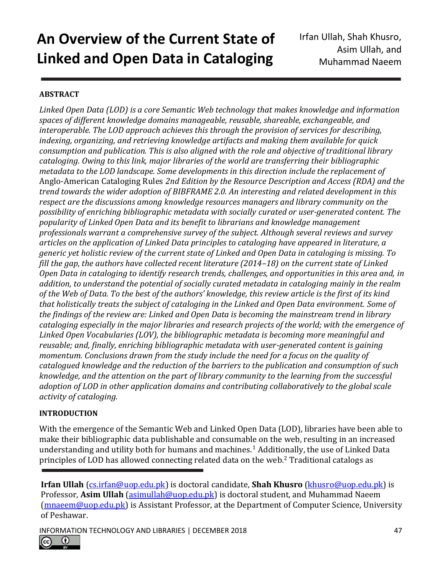## **ABSTRACT**

*Linked Open Data (LOD) is a core Semantic Web technology that makes knowledge and information spaces of different knowledge domains manageable, reusable, shareable, exchangeable, and interoperable. The LOD approach achieves this through the provision of services for describing, indexing, organizing, and retrieving knowledge artifacts and making them available for quick consumption and publication. This is also aligned with the role and objective of traditional library cataloging. Owing to this link, major libraries of the world are transferring their bibliographic metadata to the LOD landscape. Some developments in this direction include the replacement of*  Anglo-American Cataloging Rules *2nd Edition by the Resource Description and Access (RDA) and the trend towards the wider adoption of BIBFRAME 2.0. An interesting and related development in this respect are the discussions among knowledge resources managers and library community on the possibility of enriching bibliographic metadata with socially curated or user-generated content. The popularity of Linked Open Data and its benefit to librarians and knowledge management professionals warrant a comprehensive survey of the subject. Although several reviews and survey articles on the application of Linked Data principles to cataloging have appeared in literature, a generic yet holistic review of the current state of Linked and Open Data in cataloging is missing. To fill the gap, the authors have collected recent literature (2014–18) on the current state of Linked Open Data in cataloging to identify research trends, challenges, and opportunities in this area and, in addition, to understand the potential of socially curated metadata in cataloging mainly in the realm of the Web of Data. To the best of the authors' knowledge, this review article is the first of its kind that holistically treats the subject of cataloging in the Linked and Open Data environment. Some of the findings of the review are: Linked and Open Data is becoming the mainstream trend in library cataloging especially in the major libraries and research projects of the world; with the emergence of Linked Open Vocabularies (LOV), the bibliographic metadata is becoming more meaningful and reusable; and, finally, enriching bibliographic metadata with user-generated content is gaining momentum. Conclusions drawn from the study include the need for a focus on the quality of catalogued knowledge and the reduction of the barriers to the publication and consumption of such knowledge, and the attention on the part of library community to the learning from the successful adoption of LOD in other application domains and contributing collaboratively to the global scale activity of cataloging.*

#### **INTRODUCTION**

With the emergence of the Semantic Web and Linked Open Data (LOD), libraries have been able to make their bibliographic data publishable and consumable on the web, resulting in an increased understanding and utility both for humans and machines.<sup>1</sup> Additionally, the use of Linked Data principles of LOD has allowed connecting related data on the web.<sup>2</sup> Traditional catalogs as



**Irfan Ullah** [\(cs.irfan@uop.edu.pk\)](mailto:cs.irfan@uop.edu.pk) is doctoral candidate, **Shah Khusro** [\(khusro@uop.edu.pk\)](mailto:khusro@uop.edu.pk) is Professor, **Asim Ullah** [\(asimullah@uop.edu.pk\)](mailto:asimullah@uop.edu.pk) is doctoral student, and Muhammad Naeem [\(mnaeem@uop.edu.pk\)](mailto:mnaeem@uop.edu.pk) is Assistant Professor, at the Department of Computer Science, University of Peshawar.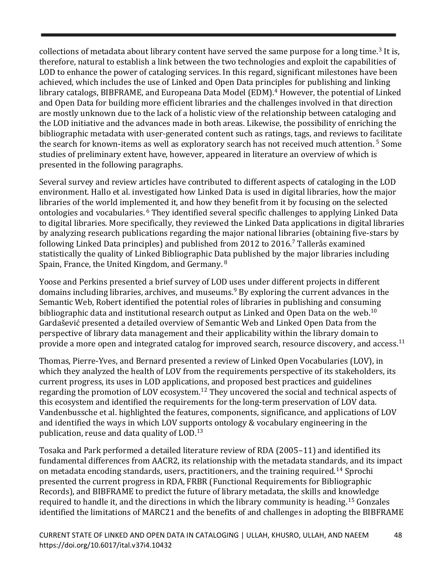collections of metadata about library content have served the same purpose for a long time.<sup>3</sup> It is, therefore, natural to establish a link between the two technologies and exploit the capabilities of LOD to enhance the power of cataloging services. In this regard, significant milestones have been achieved, which includes the use of Linked and Open Data principles for publishing and linking library catalogs, BIBFRAME, and Europeana Data Model (EDM). <sup>4</sup> However, the potential of Linked and Open Data for building more efficient libraries and the challenges involved in that direction are mostly unknown due to the lack of a holistic view of the relationship between cataloging and the LOD initiative and the advances made in both areas. Likewise, the possibility of enriching the bibliographic metadata with user-generated content such as ratings, tags, and reviews to facilitate the search for known-items as well as exploratory search has not received much attention.<sup>5</sup> Some studies of preliminary extent have, however, appeared in literature an overview of which is presented in the following paragraphs.

Several survey and review articles have contributed to different aspects of cataloging in the LOD environment. Hallo et al. investigated how Linked Data is used in digital libraries, how the major libraries of the world implemented it, and how they benefit from it by focusing on the selected ontologies and vocabularies. <sup>6</sup> They identified several specific challenges to applying Linked Data to digital libraries. More specifically, they reviewed the Linked Data applications in digital libraries by analyzing research publications regarding the major national libraries (obtaining five-stars by following Linked Data principles) and published from 2012 to 2016. <sup>7</sup> Tallerås examined statistically the quality of Linked Bibliographic Data published by the major libraries including Spain, France, the United Kingdom, and Germany. <sup>8</sup>

Yoose and Perkins presented a brief survey of LOD uses under different projects in different domains including libraries, archives, and museums.<sup>9</sup> By exploring the current advances in the Semantic Web, Robert identified the potential roles of libraries in publishing and consuming bibliographic data and institutional research output as Linked and Open Data on the web. $^{10}$ Gardašević presented a detailed overview of Semantic Web and Linked Open Data from the perspective of library data management and their applicability within the library domain to provide a more open and integrated catalog for improved search, resource discovery, and access.<sup>11</sup>

Thomas, Pierre-Yves, and Bernard presented a review of Linked Open Vocabularies (LOV), in which they analyzed the health of LOV from the requirements perspective of its stakeholders, its current progress, its uses in LOD applications, and proposed best practices and guidelines regarding the promotion of LOV ecosystem.<sup>12</sup> They uncovered the social and technical aspects of this ecosystem and identified the requirements for the long-term preservation of LOV data. Vandenbussche et al. highlighted the features, components, significance, and applications of LOV and identified the ways in which LOV supports ontology & vocabulary engineering in the publication, reuse and data quality of LOD.<sup>13</sup>

Tosaka and Park performed a detailed literature review of RDA (2005–11) and identified its fundamental differences from AACR2, its relationship with the metadata standards, and its impact on metadata encoding standards, users, practitioners, and the training required.<sup>14</sup> Sprochi presented the current progress in RDA, FRBR (Functional Requirements for Bibliographic Records), and BIBFRAME to predict the future of library metadata, the skills and knowledge required to handle it, and the directions in which the library community is heading.<sup>15</sup> Gonzales identified the limitations of MARC21 and the benefits of and challenges in adopting the BIBFRAME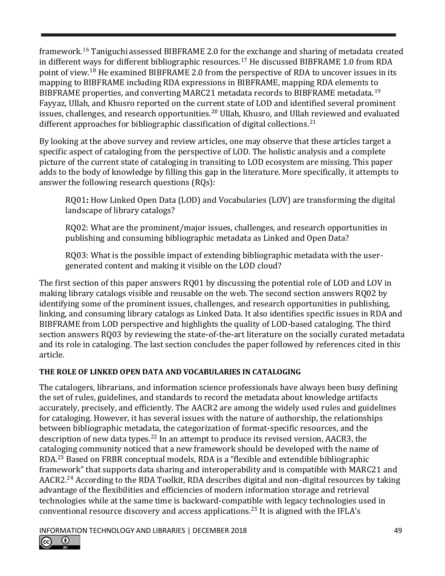framework.<sup>16</sup> Taniguchi assessed BIBFRAME 2.0 for the exchange and sharing of metadata created in different ways for different bibliographic resources.<sup>17</sup> He discussed BIBFRAME 1.0 from RDA point of view.<sup>18</sup> He examined BIBFRAME 2.0 from the perspective of RDA to uncover issues in its mapping to BIBFRAME including RDA expressions in BIBFRAME, mapping RDA elements to BIBFRAME properties, and converting MARC21 metadata records to BIBFRAME metadata.<sup>19</sup> Fayyaz, Ullah, and Khusro reported on the current state of LOD and identified several prominent issues, challenges, and research opportunities.<sup>20</sup> Ullah, Khusro, and Ullah reviewed and evaluated different approaches for bibliographic classification of digital collections.<sup>21</sup>

By looking at the above survey and review articles, one may observe that these articles target a specific aspect of cataloging from the perspective of LOD. The holistic analysis and a complete picture of the current state of cataloging in transiting to LOD ecosystem are missing. This paper adds to the body of knowledge by filling this gap in the literature. More specifically, it attempts to answer the following research questions (RQs):

RQ01**:** How Linked Open Data (LOD) and Vocabularies (LOV) are transforming the digital landscape of library catalogs?

RQ02: What are the prominent/major issues, challenges, and research opportunities in publishing and consuming bibliographic metadata as Linked and Open Data?

RQ03: What is the possible impact of extending bibliographic metadata with the usergenerated content and making it visible on the LOD cloud?

The first section of this paper answers RQ01 by discussing the potential role of LOD and LOV in making library catalogs visible and reusable on the web. The second section answers RQ02 by identifying some of the prominent issues, challenges, and research opportunities in publishing, linking, and consuming library catalogs as Linked Data. It also identifies specific issues in RDA and BIBFRAME from LOD perspective and highlights the quality of LOD-based cataloging. The third section answers RQ03 by reviewing the state-of-the-art literature on the socially curated metadata and its role in cataloging. The last section concludes the paper followed by references cited in this article.

## **THE ROLE OF LINKED OPEN DATA AND VOCABULARIES IN CATALOGING**

The catalogers, librarians, and information science professionals have always been busy defining the set of rules, guidelines, and standards to record the metadata about knowledge artifacts accurately, precisely, and efficiently. The AACR2 are among the widely used rules and guidelines for cataloging. However, it has several issues with the nature of authorship, the relationships between bibliographic metadata, the categorization of format-specific resources, and the description of new data types.<sup>22</sup> In an attempt to produce its revised version, AACR3, the cataloging community noticed that a new framework should be developed with the name of RDA.<sup>23</sup> Based on FRBR conceptual models, RDA is a "flexible and extendible bibliographic framework" that supports data sharing and interoperability and is compatible with MARC21 and AACR2.<sup>24</sup> According to the RDA Toolkit, RDA describes digital and non-digital resources by taking advantage of the flexibilities and efficiencies of modern information storage and retrieval technologies while at the same time is backward-compatible with legacy technologies used in conventional resource discovery and access applications.<sup>25</sup> It is aligned with the IFLA's

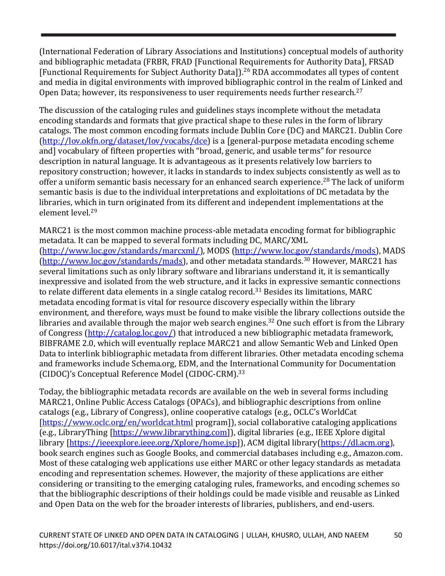(International Federation of Library Associations and Institutions) conceptual models of authority and bibliographic metadata (FRBR, FRAD [Functional Requirements for Authority Data], FRSAD [Functional Requirements for Subject Authority Data]).<sup>26</sup> RDA accommodates all types of content and media in digital environments with improved bibliographic control in the realm of Linked and Open Data; however, its responsiveness to user requirements needs further research. $^{27}$ 

The discussion of the cataloging rules and guidelines stays incomplete without the metadata encoding standards and formats that give practical shape to these rules in the form of library catalogs. The most common encoding formats include Dublin Core (DC) and MARC21. Dublin Core [\(http://lov.okfn.org/dataset/lov/vocabs/dce\)](http://lov.okfn.org/dataset/lov/vocabs/dce) is a [general-purpose metadata encoding scheme and] vocabulary of fifteen properties with "broad, generic, and usable terms" for resource description in natural language. It is advantageous as it presents relatively low barriers to repository construction; however, it lacks in standards to index subjects consistently as well as to offer a uniform semantic basis necessary for an enhanced search experience.<sup>28</sup> The lack of uniform semantic basis is due to the individual interpretations and exploitations of DC metadata by the libraries, which in turn originated from its different and independent implementations at the element level. 29

MARC21 is the most common machine process-able metadata encoding format for bibliographic metadata. It can be mapped to several formats including DC, MARC/XML [\(http://www.loc.gov/standards/marcxml/\)](http://www.loc.gov/standards/marcxml/), MODS [\(http://www.loc.gov/standards/mods\)](http://www.loc.gov/standards/mods), MADS [\(http://www.loc.gov/standards/mads\)](http://www.loc.gov/standards/mads), and other metadata standards.<sup>30</sup> However, MARC21 has several limitations such as only library software and librarians understand it, it is semantically inexpressive and isolated from the web structure, and it lacks in expressive semantic connections to relate different data elements in a single catalog record.<sup>31</sup> Besides its limitations, MARC metadata encoding format is vital for resource discovery especially within the library environment, and therefore, ways must be found to make visible the library collections outside the libraries and available through the major web search engines.<sup>32</sup> One such effort is from the Library of Congress [\(http://catalog.loc.gov/\)](http://catalog.loc.gov/) that introduced a new bibliographic metadata framework, BIBFRAME 2.0, which will eventually replace MARC21 and allow Semantic Web and Linked Open Data to interlink bibliographic metadata from different libraries. Other metadata encoding schema and frameworks include Schema.org, EDM, and the International Community for Documentation (CIDOC)'s Conceptual Reference Model (CIDOC-CRM).<sup>33</sup>

Today, the bibliographic metadata records are available on the web in several forms including MARC21, Online Public Access Catalogs (OPACs), and bibliographic descriptions from online catalogs (e.g., Library of Congress), online cooperative catalogs (e.g., OCLC's WorldCat [\[https://www.oclc.org/en/worldcat.html](https://www.oclc.org/en/worldcat.html) program]), social collaborative cataloging applications (e.g., LibraryThing [\[https://www.librarything.com\]](https://www.librarything.com/)), digital libraries (e.g., IEEE Xplore digital library [\[https://ieeexplore.ieee.org/Xplore/home.jsp\]](https://ieeexplore.ieee.org/Xplore/home.jsp)), ACM digital library[\(https://dl.acm.org\)](https://dl.acm.org/), book search engines such as Google Books, and commercial databases including e.g., Amazon.com. Most of these cataloging web applications use either MARC or other legacy standards as metadata encoding and representation schemes. However, the majority of these applications are either considering or transiting to the emerging cataloging rules, frameworks, and encoding schemes so that the bibliographic descriptions of their holdings could be made visible and reusable as Linked and Open Data on the web for the broader interests of libraries, publishers, and end-users.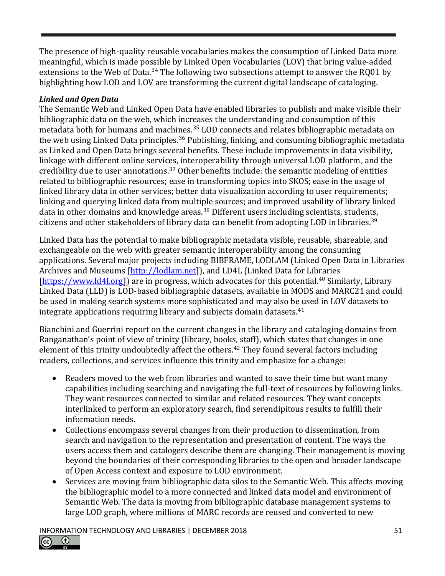The presence of high-quality reusable vocabularies makes the consumption of Linked Data more meaningful, which is made possible by Linked Open Vocabularies (LOV) that bring value-added extensions to the Web of Data.<sup>34</sup> The following two subsections attempt to answer the RQ01 by highlighting how LOD and LOV are transforming the current digital landscape of cataloging.

#### *Linked and Open Data*

The Semantic Web and Linked Open Data have enabled libraries to publish and make visible their bibliographic data on the web, which increases the understanding and consumption of this metadata both for humans and machines.<sup>35</sup> LOD connects and relates bibliographic metadata on the web using Linked Data principles.<sup>36</sup> Publishing, linking, and consuming bibliographic metadata as Linked and Open Data brings several benefits. These include improvements in data visibility, linkage with different online services, interoperability through universal LOD platform, and the credibility due to user annotations.<sup>37</sup> Other benefits include: the semantic modeling of entities related to bibliographic resources; ease in transforming topics into SKOS; ease in the usage of linked library data in other services; better data visualization according to user requirements; linking and querying linked data from multiple sources; and improved usability of library linked data in other domains and knowledge areas.<sup>38</sup> Different users including scientists, students, citizens and other stakeholders of library data can benefit from adopting LOD in libraries.<sup>39</sup>

Linked Data has the potential to make bibliographic metadata visible, reusable, shareable, and exchangeable on the web with greater semantic interoperability among the consuming applications. Several major projects including BIBFRAME, LODLAM (Linked Open Data in Libraries Archives and Museums [\[http://lodlam.net\]](http://lodlam.net/)), and LD4L (Linked Data for Libraries [\[https://www.ld4l.org\]](https://www.ld4l.org/)) are in progress, which advocates for this potential.<sup>40</sup> Similarly, Library Linked Data (LLD) is LOD-based bibliographic datasets, available in MODS and MARC21 and could be used in making search systems more sophisticated and may also be used in LOV datasets to integrate applications requiring library and subjects domain datasets.<sup>41</sup>

Bianchini and Guerrini report on the current changes in the library and cataloging domains from Ranganathan's point of view of trinity (library, books, staff), which states that changes in one element of this trinity undoubtedly affect the others.<sup>42</sup> They found several factors including readers, collections, and services influence this trinity and emphasize for a change:

- Readers moved to the web from libraries and wanted to save their time but want many capabilities including searching and navigating the full-text of resources by following links. They want resources connected to similar and related resources. They want concepts interlinked to perform an exploratory search, find serendipitous results to fulfill their information needs.
- Collections encompass several changes from their production to dissemination, from search and navigation to the representation and presentation of content. The ways the users access them and catalogers describe them are changing. Their management is moving beyond the boundaries of their corresponding libraries to the open and broader landscape of Open Access context and exposure to LOD environment.
- Services are moving from bibliographic data silos to the Semantic Web. This affects moving the bibliographic model to a more connected and linked data model and environment of Semantic Web. The data is moving from bibliographic database management systems to large LOD graph, where millions of MARC records are reused and converted to new

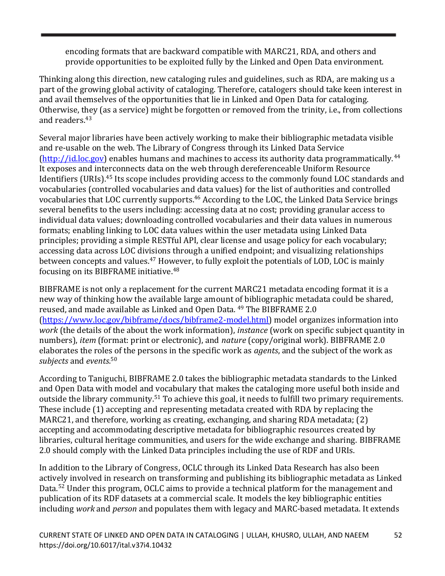encoding formats that are backward compatible with MARC21, RDA, and others and provide opportunities to be exploited fully by the Linked and Open Data environment.

Thinking along this direction, new cataloging rules and guidelines, such as RDA, are making us a part of the growing global activity of cataloging. Therefore, catalogers should take keen interest in and avail themselves of the opportunities that lie in Linked and Open Data for cataloging. Otherwise, they (as a service) might be forgotten or removed from the trinity, i.e., from collections and readers. 43

Several major libraries have been actively working to make their bibliographic metadata visible and re-usable on the web. The Library of Congress through its Linked Data Service [\(http://id.loc.gov\)](http://id.loc.gov/) enables humans and machines to access its authority data programmatically.<sup>44</sup> It exposes and interconnects data on the web through dereferenceable Uniform Resource Identifiers (URIs).<sup>45</sup> Its scope includes providing access to the commonly found LOC standards and vocabularies (controlled vocabularies and data values) for the list of authorities and controlled vocabularies that LOC currently supports.<sup>46</sup> According to the LOC, the Linked Data Service brings several benefits to the users including: accessing data at no cost; providing granular access to individual data values; downloading controlled vocabularies and their data values in numerous formats; enabling linking to LOC data values within the user metadata using Linked Data principles; providing a simple RESTful API, clear license and usage policy for each vocabulary; accessing data across LOC divisions through a unified endpoint; and visualizing relationships between concepts and values.<sup>47</sup> However, to fully exploit the potentials of LOD, LOC is mainly focusing on its BIBFRAME initiative.<sup>48</sup>

BIBFRAME is not only a replacement for the current MARC21 metadata encoding format it is a new way of thinking how the available large amount of bibliographic metadata could be shared, reused, and made available as Linked and Open Data. <sup>49</sup> The BIBFRAME 2.0 [\(https://www.loc.gov/bibframe/docs/bibframe2-model.html\)](https://www.loc.gov/bibframe/docs/bibframe2-model.html) model organizes information into *work* (the details of the about the work information), *instance* (work on specific subject quantity in numbers), *item* (format: print or electronic), and *nature* (copy/original work). BIBFRAME 2.0 elaborates the roles of the persons in the specific work as *agents*, and the subject of the work as *subjects* and *events*. 50

According to Taniguchi, BIBFRAME 2.0 takes the bibliographic metadata standards to the Linked and Open Data with model and vocabulary that makes the cataloging more useful both inside and outside the library community.<sup>51</sup> To achieve this goal, it needs to fulfill two primary requirements. These include (1) accepting and representing metadata created with RDA by replacing the MARC21, and therefore, working as creating, exchanging, and sharing RDA metadata; (2) accepting and accommodating descriptive metadata for bibliographic resources created by libraries, cultural heritage communities, and users for the wide exchange and sharing. BIBFRAME 2.0 should comply with the Linked Data principles including the use of RDF and URIs.

In addition to the Library of Congress, OCLC through its Linked Data Research has also been actively involved in research on transforming and publishing its bibliographic metadata as Linked Data.<sup>52</sup> Under this program, OCLC aims to provide a technical platform for the management and publication of its RDF datasets at a commercial scale. It models the key bibliographic entities including *work* and *person* and populates them with legacy and MARC-based metadata. It extends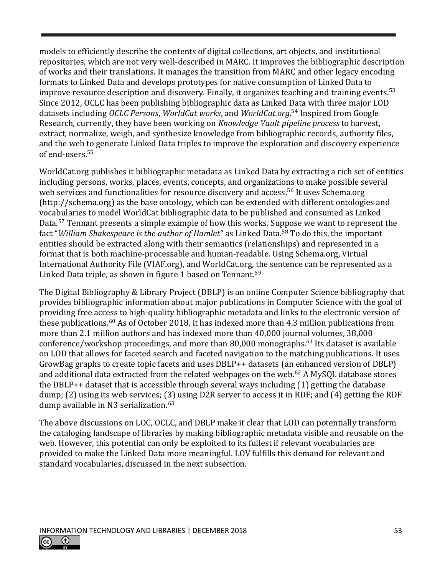models to efficiently describe the contents of digital collections, art objects, and institutional repositories, which are not very well-described in MARC. It improves the bibliographic description of works and their translations. It manages the transition from MARC and other legacy encoding formats to Linked Data and develops prototypes for native consumption of Linked Data to improve resource description and discovery. Finally, it organizes teaching and training events.<sup>53</sup> Since 2012, OCLC has been publishing bibliographic data as Linked Data with three major LOD datasets including *OCLC Persons*, *WorldCat works*, and *WorldCat.org*. <sup>54</sup> Inspired from Google Research, currently, they have been working on *Knowledge Vault pipeline process* to harvest, extract, normalize, weigh, and synthesize knowledge from bibliographic records, authority files, and the web to generate Linked Data triples to improve the exploration and discovery experience of end-users.<sup>55</sup>

WorldCat.org publishes it bibliographic metadata as Linked Data by extracting a rich set of entities including persons, works, places, events, concepts, and organizations to make possible several web services and functionalities for resource discovery and access. <sup>56</sup> It uses Schema.org (http://schema.org) as the base ontology, which can be extended with different ontologies and vocabularies to model WorldCat bibliographic data to be published and consumed as Linked Data.<sup>57</sup> Tennant presents a simple example of how this works. Suppose we want to represent the fact "*William Shakespeare is the author of Hamlet*" as Linked Data.<sup>58</sup> To do this, the important entities should be extracted along with their semantics (relationships) and represented in a format that is both machine-processable and human-readable. Using Schema.org, Virtual International Authority File (VIAF.org), and WorldCat.org, the sentence can be represented as a Linked Data triple, as shown in figure 1 based on Tennant.<sup>59</sup>

The Digital Bibliography & Library Project (DBLP) is an online Computer Science bibliography that provides bibliographic information about major publications in Computer Science with the goal of providing free access to high-quality bibliographic metadata and links to the electronic version of these publications.<sup>60</sup> As of October 2018, it has indexed more than 4.3 million publications from more than 2.1 million authors and has indexed more than 40,000 journal volumes, 38,000 conference/workshop proceedings, and more than 80,000 monographs.<sup>61</sup> Its dataset is available on LOD that allows for faceted search and faceted navigation to the matching publications. It uses GrowBag graphs to create topic facets and uses DBLP++ datasets (an enhanced version of DBLP) and additional data extracted from the related webpages on the web. $62$  A MySQL database stores the DBLP++ dataset that is accessible through several ways including (1) getting the database dump; (2) using its web services; (3) using D2R server to access it in RDF; and (4) getting the RDF dump available in N3 serialization.<sup>63</sup>

The above discussions on LOC, OCLC, and DBLP make it clear that LOD can potentially transform the cataloging landscape of libraries by making bibliographic metadata visible and reusable on the web. However, this potential can only be exploited to its fullest if relevant vocabularies are provided to make the Linked Data more meaningful. LOV fulfills this demand for relevant and standard vocabularies, discussed in the next subsection.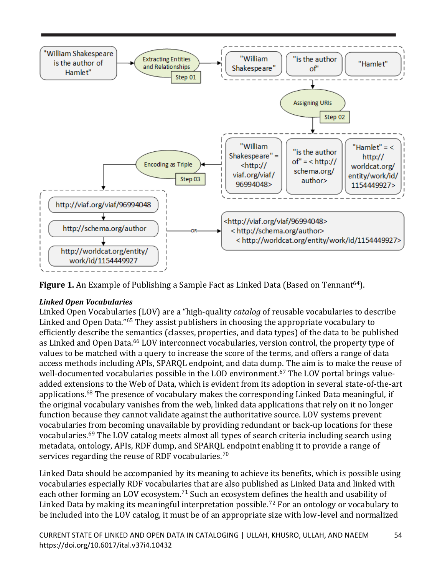

**Figure 1.** An Example of Publishing a Sample Fact as Linked Data (Based on Tennant<sup>64</sup>).

## *Linked Open Vocabularies*

Linked Open Vocabularies (LOV) are a "high-quality *catalog* of reusable vocabularies to describe Linked and Open Data."<sup>65</sup> They assist publishers in choosing the appropriate vocabulary to efficiently describe the semantics (classes, properties, and data types) of the data to be published as Linked and Open Data.<sup>66</sup> LOV interconnect vocabularies, version control, the property type of values to be matched with a query to increase the score of the terms, and offers a range of data access methods including APIs, SPARQL endpoint, and data dump. The aim is to make the reuse of well-documented vocabularies possible in the LOD environment.<sup>67</sup> The LOV portal brings valueadded extensions to the Web of Data, which is evident from its adoption in several state-of-the-art applications.<sup>68</sup> The presence of vocabulary makes the corresponding Linked Data meaningful, if the original vocabulary vanishes from the web, linked data applications that rely on it no longer function because they cannot validate against the authoritative source. LOV systems prevent vocabularies from becoming unavailable by providing redundant or back-up locations for these vocabularies.<sup>69</sup> The LOV catalog meets almost all types of search criteria including search using metadata, ontology, APIs, RDF dump, and SPARQL endpoint enabling it to provide a range of services regarding the reuse of RDF vocabularies.<sup>70</sup>

Linked Data should be accompanied by its meaning to achieve its benefits, which is possible using vocabularies especially RDF vocabularies that are also published as Linked Data and linked with each other forming an LOV ecosystem.<sup>71</sup> Such an ecosystem defines the health and usability of Linked Data by making its meaningful interpretation possible.<sup>72</sup> For an ontology or vocabulary to be included into the LOV catalog, it must be of an appropriate size with low-level and normalized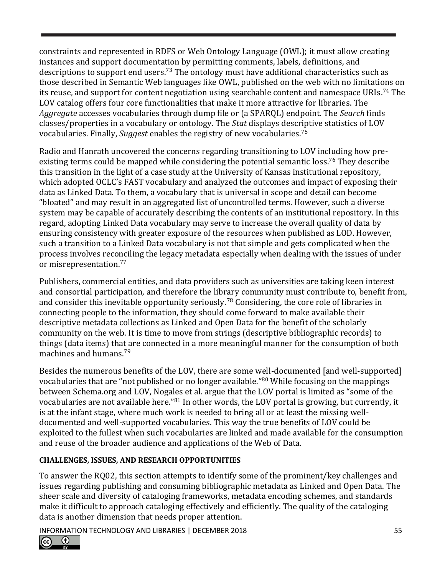constraints and represented in RDFS or Web Ontology Language (OWL); it must allow creating instances and support documentation by permitting comments, labels, definitions, and descriptions to support end users.<sup>73</sup> The ontology must have additional characteristics such as those described in Semantic Web languages like OWL, published on the web with no limitations on its reuse, and support for content negotiation using searchable content and namespace URIs.<sup>74</sup> The LOV catalog offers four core functionalities that make it more attractive for libraries. The *Aggregate* accesses vocabularies through dump file or (a SPARQL) endpoint. The *Search* finds classes/properties in a vocabulary or ontology. The *Stat* displays descriptive statistics of LOV vocabularies. Finally, *Suggest* enables the registry of new vocabularies.<sup>75</sup>

Radio and Hanrath uncovered the concerns regarding transitioning to LOV including how preexisting terms could be mapped while considering the potential semantic loss.<sup>76</sup> They describe this transition in the light of a case study at the University of Kansas institutional repository, which adopted OCLC's FAST vocabulary and analyzed the outcomes and impact of exposing their data as Linked Data. To them, a vocabulary that is universal in scope and detail can become "bloated" and may result in an aggregated list of uncontrolled terms. However, such a diverse system may be capable of accurately describing the contents of an institutional repository. In this regard, adopting Linked Data vocabulary may serve to increase the overall quality of data by ensuring consistency with greater exposure of the resources when published as LOD. However, such a transition to a Linked Data vocabulary is not that simple and gets complicated when the process involves reconciling the legacy metadata especially when dealing with the issues of under or misrepresentation.<sup>77</sup>

Publishers, commercial entities, and data providers such as universities are taking keen interest and consortial participation, and therefore the library community must contribute to, benefit from, and consider this inevitable opportunity seriously.<sup>78</sup> Considering, the core role of libraries in connecting people to the information, they should come forward to make available their descriptive metadata collections as Linked and Open Data for the benefit of the scholarly community on the web. It is time to move from strings (descriptive bibliographic records) to things (data items) that are connected in a more meaningful manner for the consumption of both machines and humans.<sup>79</sup>

Besides the numerous benefits of the LOV, there are some well-documented [and well-supported] vocabularies that are "not published or no longer available." <sup>80</sup> While focusing on the mappings between Schema.org and LOV, Nogales et al. argue that the LOV portal is limited as "some of the vocabularies are not available here." <sup>81</sup> In other words, the LOV portal is growing, but currently, it is at the infant stage, where much work is needed to bring all or at least the missing welldocumented and well-supported vocabularies. This way the true benefits of LOV could be exploited to the fullest when such vocabularies are linked and made available for the consumption and reuse of the broader audience and applications of the Web of Data.

## **CHALLENGES, ISSUES, AND RESEARCH OPPORTUNITIES**

To answer the RQ02, this section attempts to identify some of the prominent/key challenges and issues regarding publishing and consuming bibliographic metadata as Linked and Open Data. The sheer scale and diversity of cataloging frameworks, metadata encoding schemes, and standards make it difficult to approach cataloging effectively and efficiently. The quality of the cataloging data is another dimension that needs proper attention.

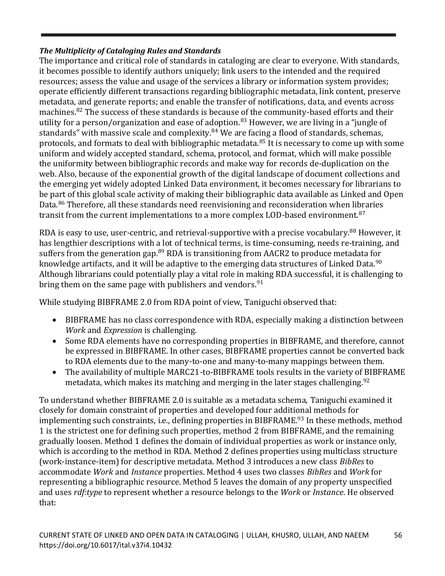#### *The Multiplicity of Cataloging Rules and Standards*

The importance and critical role of standards in cataloging are clear to everyone. With standards, it becomes possible to identify authors uniquely; link users to the intended and the required resources; assess the value and usage of the services a library or information system provides; operate efficiently different transactions regarding bibliographic metadata, link content, preserve metadata, and generate reports; and enable the transfer of notifications, data, and events across machines.<sup>82</sup> The success of these standards is because of the community-based efforts and their utility for a person/organization and ease of adoption.<sup>83</sup> However, we are living in a "jungle of standards" with massive scale and complexity.<sup>84</sup> We are facing a flood of standards, schemas, protocols, and formats to deal with bibliographic metadata.<sup>85</sup> It is necessary to come up with some uniform and widely accepted standard, schema, protocol, and format, which will make possible the uniformity between bibliographic records and make way for records de-duplication on the web. Also, because of the exponential growth of the digital landscape of document collections and the emerging yet widely adopted Linked Data environment, it becomes necessary for librarians to be part of this global scale activity of making their bibliographic data available as Linked and Open Data.<sup>86</sup> Therefore, all these standards need reenvisioning and reconsideration when libraries transit from the current implementations to a more complex LOD-based environment.<sup>87</sup>

RDA is easy to use, user-centric, and retrieval-supportive with a precise vocabulary.<sup>88</sup> However, it has lengthier descriptions with a lot of technical terms, is time-consuming, needs re-training, and suffers from the generation gap. $89$  RDA is transitioning from AACR2 to produce metadata for knowledge artifacts, and it will be adaptive to the emerging data structures of Linked Data.<sup>90</sup> Although librarians could potentially play a vital role in making RDA successful, it is challenging to bring them on the same page with publishers and vendors.  $91$ 

While studying BIBFRAME 2.0 from RDA point of view, Taniguchi observed that:

- BIBFRAME has no class correspondence with RDA, especially making a distinction between *Work* and *Expression* is challenging.
- Some RDA elements have no corresponding properties in BIBFRAME, and therefore, cannot be expressed in BIBFRAME. In other cases, BIBFRAME properties cannot be converted back to RDA elements due to the many-to-one and many-to-many mappings between them.
- The availability of multiple MARC21-to-BIBFRAME tools results in the variety of BIBFRAME metadata, which makes its matching and merging in the later stages challenging.  $92$

To understand whether BIBFRAME 2.0 is suitable as a metadata schema, Taniguchi examined it closely for domain constraint of properties and developed four additional methods for implementing such constraints, i.e., defining properties in BIBFRAME.<sup>93</sup> In these methods, method 1 is the strictest one for defining such properties, method 2 from BIBFRAME, and the remaining gradually loosen. Method 1 defines the domain of individual properties as work or instance only, which is according to the method in RDA. Method 2 defines properties using multiclass structure (work-instance-item) for descriptive metadata. Method 3 introduces a new class *BibRes* to accommodate *Work* and *Instance* properties. Method 4 uses two classes *BibRes* and *Work* for representing a bibliographic resource. Method 5 leaves the domain of any property unspecified and uses *rdf:type* to represent whether a resource belongs to the *Work* or *Instance*. He observed that: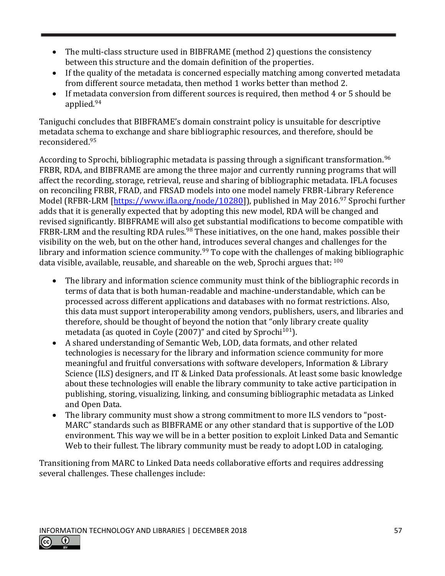- The multi-class structure used in BIBFRAME (method 2) questions the consistency between this structure and the domain definition of the properties.
- If the quality of the metadata is concerned especially matching among converted metadata from different source metadata, then method 1 works better than method 2.
- If metadata conversion from different sources is required, then method 4 or 5 should be applied.<sup>94</sup>

Taniguchi concludes that BIBFRAME's domain constraint policy is unsuitable for descriptive metadata schema to exchange and share bibliographic resources, and therefore, should be reconsidered.<sup>95</sup>

According to Sprochi, bibliographic metadata is passing through a significant transformation.<sup>96</sup> FRBR, RDA, and BIBFRAME are among the three major and currently running programs that will affect the recording, storage, retrieval, reuse and sharing of bibliographic metadata. IFLA focuses on reconciling FRBR, FRAD, and FRSAD models into one model namely FRBR-Library Reference Model (RFBR-LRM [\[https://www.ifla.org/node/10280\]](https://www.ifla.org/node/10280)), published in May 2016.<sup>97</sup> Sprochi further adds that it is generally expected that by adopting this new model, RDA will be changed and revised significantly. BIBFRAME will also get substantial modifications to become compatible with FRBR-LRM and the resulting RDA rules.<sup>98</sup> These initiatives, on the one hand, makes possible their visibility on the web, but on the other hand, introduces several changes and challenges for the library and information science community.<sup>99</sup> To cope with the challenges of making bibliographic data visible, available, reusable, and shareable on the web, Sprochi argues that: <sup>100</sup>

- The library and information science community must think of the bibliographic records in terms of data that is both human-readable and machine-understandable, which can be processed across different applications and databases with no format restrictions. Also, this data must support interoperability among vendors, publishers, users, and libraries and therefore, should be thought of beyond the notion that "only library create quality metadata (as quoted in Coyle  $(2007)$ " and cited by Sprochi<sup>101</sup>).
- A shared understanding of Semantic Web, LOD, data formats, and other related technologies is necessary for the library and information science community for more meaningful and fruitful conversations with software developers, Information & Library Science (ILS) designers, and IT & Linked Data professionals. At least some basic knowledge about these technologies will enable the library community to take active participation in publishing, storing, visualizing, linking, and consuming bibliographic metadata as Linked and Open Data.
- The library community must show a strong commitment to more ILS vendors to "post-MARC" standards such as BIBFRAME or any other standard that is supportive of the LOD environment. This way we will be in a better position to exploit Linked Data and Semantic Web to their fullest. The library community must be ready to adopt LOD in cataloging.

Transitioning from MARC to Linked Data needs collaborative efforts and requires addressing several challenges. These challenges include: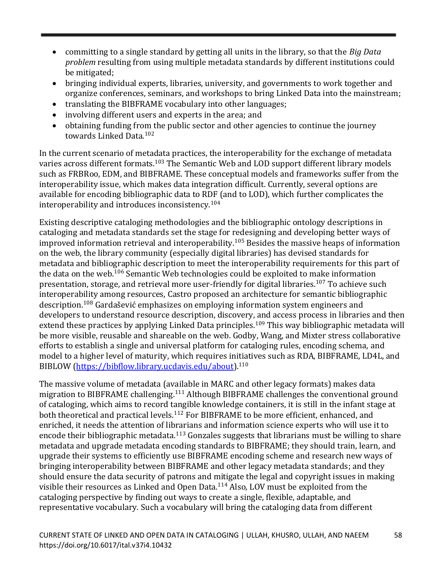- committing to a single standard by getting all units in the library, so that the *Big Data problem* resulting from using multiple metadata standards by different institutions could be mitigated;
- bringing individual experts, libraries, university, and governments to work together and organize conferences, seminars, and workshops to bring Linked Data into the mainstream;
- translating the BIBFRAME vocabulary into other languages;
- involving different users and experts in the area; and
- obtaining funding from the public sector and other agencies to continue the journey towards Linked Data.<sup>102</sup>

In the current scenario of metadata practices, the interoperability for the exchange of metadata varies across different formats.<sup>103</sup> The Semantic Web and LOD support different library models such as FRBRoo, EDM, and BIBFRAME. These conceptual models and frameworks suffer from the interoperability issue, which makes data integration difficult. Currently, several options are available for encoding bibliographic data to RDF (and to LOD), which further complicates the interoperability and introduces inconsistency.<sup>104</sup>

Existing descriptive cataloging methodologies and the bibliographic ontology descriptions in cataloging and metadata standards set the stage for redesigning and developing better ways of improved information retrieval and interoperability.<sup>105</sup> Besides the massive heaps of information on the web, the library community (especially digital libraries) has devised standards for metadata and bibliographic description to meet the interoperability requirements for this part of the data on the web.<sup>106</sup> Semantic Web technologies could be exploited to make information presentation, storage, and retrieval more user-friendly for digital libraries.<sup>107</sup> To achieve such interoperability among resources, Castro proposed an architecture for semantic bibliographic description.<sup>108</sup> Gardašević emphasizes on employing information system engineers and developers to understand resource description, discovery, and access process in libraries and then extend these practices by applying Linked Data principles.<sup>109</sup> This way bibliographic metadata will be more visible, reusable and shareable on the web. Godby, Wang, and Mixter stress collaborative efforts to establish a single and universal platform for cataloging rules, encoding schema, and model to a higher level of maturity, which requires initiatives such as RDA, BIBFRAME, LD4L, and BIBLOW [\(https://bibflow.library.ucdavis.edu/about\)](https://bibflow.library.ucdavis.edu/about).<sup>110</sup>

The massive volume of metadata (available in MARC and other legacy formats) makes data migration to BIBFRAME challenging.<sup>111</sup> Although BIBFRAME challenges the conventional ground of cataloging, which aims to record tangible knowledge containers, it is still in the infant stage at both theoretical and practical levels.<sup>112</sup> For BIBFRAME to be more efficient, enhanced, and enriched, it needs the attention of librarians and information science experts who will use it to encode their bibliographic metadata.<sup>113</sup> Gonzales suggests that librarians must be willing to share metadata and upgrade metadata encoding standards to BIBFRAME; they should train, learn, and upgrade their systems to efficiently use BIBFRAME encoding scheme and research new ways of bringing interoperability between BIBFRAME and other legacy metadata standards; and they should ensure the data security of patrons and mitigate the legal and copyright issues in making visible their resources as Linked and Open Data.<sup>114</sup> Also, LOV must be exploited from the cataloging perspective by finding out ways to create a single, flexible, adaptable, and representative vocabulary. Such a vocabulary will bring the cataloging data from different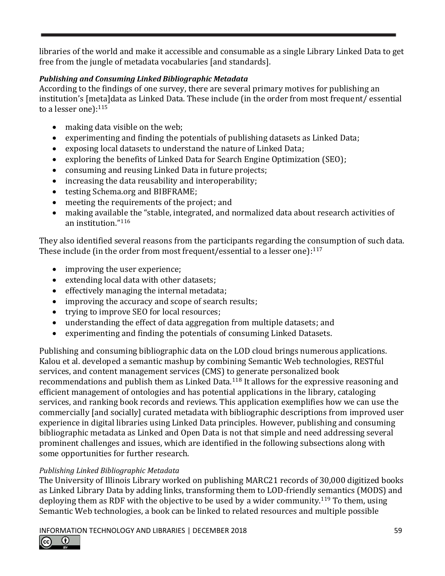libraries of the world and make it accessible and consumable as a single Library Linked Data to get free from the jungle of metadata vocabularies [and standards].

## *Publishing and Consuming Linked Bibliographic Metadata*

According to the findings of one survey, there are several primary motives for publishing an institution's [meta]data as Linked Data. These include (in the order from most frequent/ essential to a lesser one): $115$ 

- making data visible on the web;
- experimenting and finding the potentials of publishing datasets as Linked Data;
- exposing local datasets to understand the nature of Linked Data;
- exploring the benefits of Linked Data for Search Engine Optimization (SEO);
- consuming and reusing Linked Data in future projects;
- increasing the data reusability and interoperability;
- testing Schema.org and BIBFRAME;
- meeting the requirements of the project; and
- making available the "stable, integrated, and normalized data about research activities of an institution." 116

They also identified several reasons from the participants regarding the consumption of such data. These include (in the order from most frequent/essential to a lesser one): $^{117}$ 

- improving the user experience;
- extending local data with other datasets;
- effectively managing the internal metadata;
- improving the accuracy and scope of search results;
- trying to improve SEO for local resources;
- understanding the effect of data aggregation from multiple datasets; and
- experimenting and finding the potentials of consuming Linked Datasets.

Publishing and consuming bibliographic data on the LOD cloud brings numerous applications. Kalou et al. developed a semantic mashup by combining Semantic Web technologies, RESTful services, and content management services (CMS) to generate personalized book recommendations and publish them as Linked Data.<sup>118</sup> It allows for the expressive reasoning and efficient management of ontologies and has potential applications in the library, cataloging services, and ranking book records and reviews. This application exemplifies how we can use the commercially [and socially] curated metadata with bibliographic descriptions from improved user experience in digital libraries using Linked Data principles. However, publishing and consuming bibliographic metadata as Linked and Open Data is not that simple and need addressing several prominent challenges and issues, which are identified in the following subsections along with some opportunities for further research.

## *Publishing Linked Bibliographic Metadata*

The University of Illinois Library worked on publishing MARC21 records of 30,000 digitized books as Linked Library Data by adding links, transforming them to LOD-friendly semantics (MODS) and deploying them as RDF with the objective to be used by a wider community.<sup>119</sup> To them, using Semantic Web technologies, a book can be linked to related resources and multiple possible

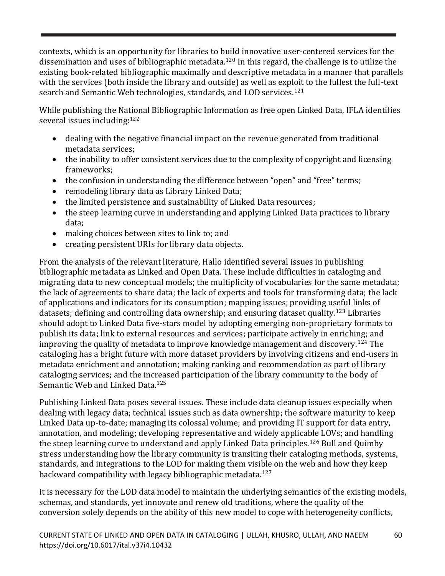contexts, which is an opportunity for libraries to build innovative user-centered services for the dissemination and uses of bibliographic metadata.<sup>120</sup> In this regard, the challenge is to utilize the existing book-related bibliographic maximally and descriptive metadata in a manner that parallels with the services (both inside the library and outside) as well as exploit to the fullest the full-text search and Semantic Web technologies, standards, and LOD services.<sup>121</sup>

While publishing the National Bibliographic Information as free open Linked Data, IFLA identifies several issues including: 122

- dealing with the negative financial impact on the revenue generated from traditional metadata services;
- the inability to offer consistent services due to the complexity of copyright and licensing frameworks;
- the confusion in understanding the difference between "open" and "free" terms;
- remodeling library data as Library Linked Data;
- the limited persistence and sustainability of Linked Data resources;
- the steep learning curve in understanding and applying Linked Data practices to library data;
- making choices between sites to link to; and
- creating persistent URIs for library data objects.

From the analysis of the relevant literature, Hallo identified several issues in publishing bibliographic metadata as Linked and Open Data. These include difficulties in cataloging and migrating data to new conceptual models; the multiplicity of vocabularies for the same metadata; the lack of agreements to share data; the lack of experts and tools for transforming data; the lack of applications and indicators for its consumption; mapping issues; providing useful links of datasets; defining and controlling data ownership; and ensuring dataset quality.<sup>123</sup> Libraries should adopt to Linked Data five-stars model by adopting emerging non-proprietary formats to publish its data; link to external resources and services; participate actively in enriching; and improving the quality of metadata to improve knowledge management and discovery.<sup>124</sup> The cataloging has a bright future with more dataset providers by involving citizens and end-users in metadata enrichment and annotation; making ranking and recommendation as part of library cataloging services; and the increased participation of the library community to the body of Semantic Web and Linked Data.<sup>125</sup>

Publishing Linked Data poses several issues. These include data cleanup issues especially when dealing with legacy data; technical issues such as data ownership; the software maturity to keep Linked Data up-to-date; managing its colossal volume; and providing IT support for data entry, annotation, and modeling; developing representative and widely applicable LOVs; and handling the steep learning curve to understand and apply Linked Data principles.<sup>126</sup> Bull and Quimby stress understanding how the library community is transiting their cataloging methods, systems, standards, and integrations to the LOD for making them visible on the web and how they keep backward compatibility with legacy bibliographic metadata.<sup>127</sup>

It is necessary for the LOD data model to maintain the underlying semantics of the existing models, schemas, and standards, yet innovate and renew old traditions, where the quality of the conversion solely depends on the ability of this new model to cope with heterogeneity conflicts,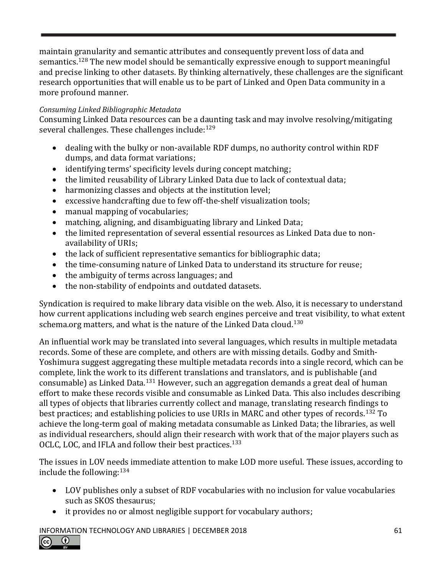maintain granularity and semantic attributes and consequently prevent loss of data and semantics.<sup>128</sup> The new model should be semantically expressive enough to support meaningful and precise linking to other datasets. By thinking alternatively, these challenges are the significant research opportunities that will enable us to be part of Linked and Open Data community in a more profound manner.

#### *Consuming Linked Bibliographic Metadata*

Consuming Linked Data resources can be a daunting task and may involve resolving/mitigating several challenges. These challenges include:  $129$ 

- dealing with the bulky or non-available RDF dumps, no authority control within RDF dumps, and data format variations;
- identifying terms' specificity levels during concept matching;
- the limited reusability of Library Linked Data due to lack of contextual data;
- harmonizing classes and objects at the institution level;
- excessive handcrafting due to few off-the-shelf visualization tools;
- manual mapping of vocabularies;
- matching, aligning, and disambiguating library and Linked Data;
- the limited representation of several essential resources as Linked Data due to nonavailability of URIs;
- the lack of sufficient representative semantics for bibliographic data;
- the time-consuming nature of Linked Data to understand its structure for reuse;
- the ambiguity of terms across languages; and
- the non-stability of endpoints and outdated datasets.

Syndication is required to make library data visible on the web. Also, it is necessary to understand how current applications including web search engines perceive and treat visibility, to what extent schema.org matters, and what is the nature of the Linked Data cloud.<sup>130</sup>

An influential work may be translated into several languages, which results in multiple metadata records. Some of these are complete, and others are with missing details. Godby and Smith‐ Yoshimura suggest aggregating these multiple metadata records into a single record, which can be complete, link the work to its different translations and translators, and is publishable (and consumable) as Linked Data.<sup>131</sup> However, such an aggregation demands a great deal of human effort to make these records visible and consumable as Linked Data. This also includes describing all types of objects that libraries currently collect and manage, translating research findings to best practices; and establishing policies to use URIs in MARC and other types of records.<sup>132</sup> To achieve the long-term goal of making metadata consumable as Linked Data; the libraries, as well as individual researchers, should align their research with work that of the major players such as OCLC, LOC, and IFLA and follow their best practices.<sup>133</sup>

The issues in LOV needs immediate attention to make LOD more useful. These issues, according to include the following:  $134$ 

- LOV publishes only a subset of RDF vocabularies with no inclusion for value vocabularies such as SKOS thesaurus;
- it provides no or almost negligible support for vocabulary authors;

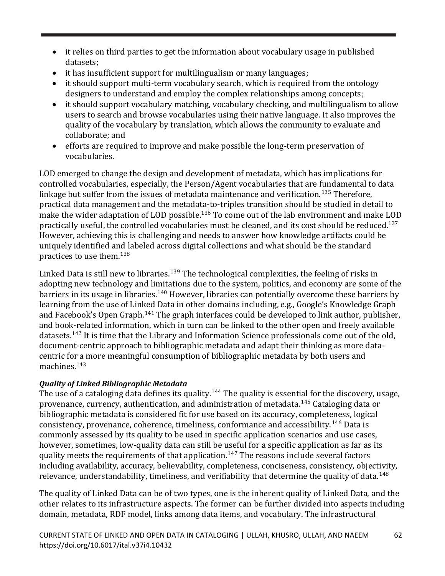- it relies on third parties to get the information about vocabulary usage in published datasets;
- it has insufficient support for multilingualism or many languages;
- it should support multi-term vocabulary search, which is required from the ontology designers to understand and employ the complex relationships among concepts;
- it should support vocabulary matching, vocabulary checking, and multilingualism to allow users to search and browse vocabularies using their native language. It also improves the quality of the vocabulary by translation, which allows the community to evaluate and collaborate; and
- efforts are required to improve and make possible the long-term preservation of vocabularies.

LOD emerged to change the design and development of metadata, which has implications for controlled vocabularies, especially, the Person/Agent vocabularies that are fundamental to data linkage but suffer from the issues of metadata maintenance and verification.<sup>135</sup> Therefore, practical data management and the metadata-to-triples transition should be studied in detail to make the wider adaptation of LOD possible.<sup>136</sup> To come out of the lab environment and make LOD practically useful, the controlled vocabularies must be cleaned, and its cost should be reduced.<sup>137</sup> However, achieving this is challenging and needs to answer how knowledge artifacts could be uniquely identified and labeled across digital collections and what should be the standard practices to use them.<sup>138</sup>

Linked Data is still new to libraries.<sup>139</sup> The technological complexities, the feeling of risks in adopting new technology and limitations due to the system, politics, and economy are some of the barriers in its usage in libraries.<sup>140</sup> However, libraries can potentially overcome these barriers by learning from the use of Linked Data in other domains including, e.g., Google's Knowledge Graph and Facebook's Open Graph.<sup>141</sup> The graph interfaces could be developed to link author, publisher, and book-related information, which in turn can be linked to the other open and freely available datasets.<sup>142</sup> It is time that the Library and Information Science professionals come out of the old, document-centric approach to bibliographic metadata and adapt their thinking as more datacentric for a more meaningful consumption of bibliographic metadata by both users and machines.<sup>143</sup>

## *Quality of Linked Bibliographic Metadata*

The use of a cataloging data defines its quality.<sup>144</sup> The quality is essential for the discovery, usage, provenance, currency, authentication, and administration of metadata.<sup>145</sup> Cataloging data or bibliographic metadata is considered fit for use based on its accuracy, completeness, logical consistency, provenance, coherence, timeliness, conformance and accessibility.<sup>146</sup> Data is commonly assessed by its quality to be used in specific application scenarios and use cases, however, sometimes, low-quality data can still be useful for a specific application as far as its quality meets the requirements of that application.<sup>147</sup> The reasons include several factors including availability, accuracy, believability, completeness, conciseness, consistency, objectivity, relevance, understandability, timeliness, and verifiability that determine the quality of data.<sup>148</sup>

The quality of Linked Data can be of two types, one is the inherent quality of Linked Data, and the other relates to its infrastructure aspects. The former can be further divided into aspects including domain, metadata, RDF model, links among data items, and vocabulary. The infrastructural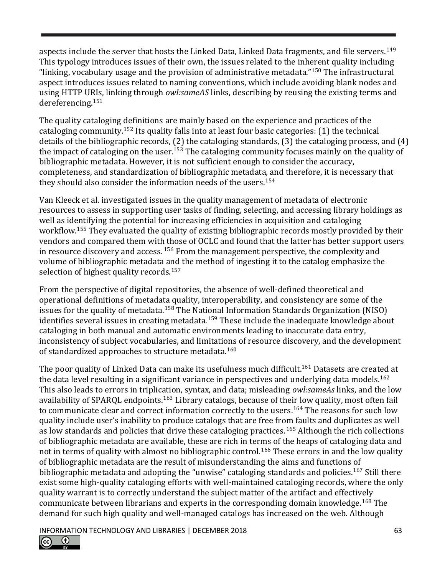aspects include the server that hosts the Linked Data, Linked Data fragments, and file servers.<sup>149</sup> This typology introduces issues of their own, the issues related to the inherent quality including "linking, vocabulary usage and the provision of administrative metadata." <sup>150</sup> The infrastructural aspect introduces issues related to naming conventions, which include avoiding blank nodes and using HTTP URIs, linking through *owl:sameAS* links, describing by reusing the existing terms and dereferencing.<sup>151</sup>

The quality cataloging definitions are mainly based on the experience and practices of the cataloging community.<sup>152</sup> Its quality falls into at least four basic categories:  $(1)$  the technical details of the bibliographic records, (2) the cataloging standards, (3) the cataloging process, and (4) the impact of cataloging on the user.<sup>153</sup> The cataloging community focuses mainly on the quality of bibliographic metadata. However, it is not sufficient enough to consider the accuracy, completeness, and standardization of bibliographic metadata, and therefore, it is necessary that they should also consider the information needs of the users.<sup>154</sup>

Van Kleeck et al. investigated issues in the quality management of metadata of electronic resources to assess in supporting user tasks of finding, selecting, and accessing library holdings as well as identifying the potential for increasing efficiencies in acquisition and cataloging workflow.<sup>155</sup> They evaluated the quality of existing bibliographic records mostly provided by their vendors and compared them with those of OCLC and found that the latter has better support users in resource discovery and access.  $156$  From the management perspective, the complexity and volume of bibliographic metadata and the method of ingesting it to the catalog emphasize the selection of highest quality records.<sup>157</sup>

From the perspective of digital repositories, the absence of well-defined theoretical and operational definitions of metadata quality, interoperability, and consistency are some of the issues for the quality of metadata.<sup>158</sup> The National Information Standards Organization (NISO) identifies several issues in creating metadata.<sup>159</sup> These include the inadequate knowledge about cataloging in both manual and automatic environments leading to inaccurate data entry, inconsistency of subject vocabularies, and limitations of resource discovery, and the development of standardized approaches to structure metadata.<sup>160</sup>

The poor quality of Linked Data can make its usefulness much difficult.<sup>161</sup> Datasets are created at the data level resulting in a significant variance in perspectives and underlying data models.<sup>162</sup> This also leads to errors in triplication, syntax, and data; misleading *owl:sameAs* links, and the low availability of SPARQL endpoints.<sup>163</sup> Library catalogs, because of their low quality, most often fail to communicate clear and correct information correctly to the users. <sup>164</sup> The reasons for such low quality include user's inability to produce catalogs that are free from faults and duplicates as well as low standards and policies that drive these cataloging practices.<sup>165</sup> Although the rich collections of bibliographic metadata are available, these are rich in terms of the heaps of cataloging data and not in terms of quality with almost no bibliographic control.<sup>166</sup> These errors in and the low quality of bibliographic metadata are the result of misunderstanding the aims and functions of bibliographic metadata and adopting the "unwise" cataloging standards and policies.<sup>167</sup> Still there exist some high-quality cataloging efforts with well-maintained cataloging records, where the only quality warrant is to correctly understand the subject matter of the artifact and effectively communicate between librarians and experts in the corresponding domain knowledge.<sup>168</sup> The demand for such high quality and well-managed catalogs has increased on the web. Although

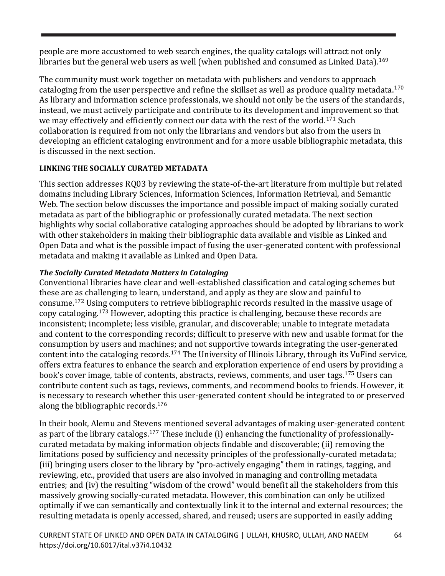people are more accustomed to web search engines, the quality catalogs will attract not only libraries but the general web users as well (when published and consumed as Linked Data).<sup>169</sup>

The community must work together on metadata with publishers and vendors to approach cataloging from the user perspective and refine the skillset as well as produce quality metadata.<sup>170</sup> As library and information science professionals, we should not only be the users of the standards, instead, we must actively participate and contribute to its development and improvement so that we may effectively and efficiently connect our data with the rest of the world.<sup>171</sup> Such collaboration is required from not only the librarians and vendors but also from the users in developing an efficient cataloging environment and for a more usable bibliographic metadata, this is discussed in the next section.

# **LINKING THE SOCIALLY CURATED METADATA**

This section addresses RQ03 by reviewing the state-of-the-art literature from multiple but related domains including Library Sciences, Information Sciences, Information Retrieval, and Semantic Web. The section below discusses the importance and possible impact of making socially curated metadata as part of the bibliographic or professionally curated metadata. The next section highlights why social collaborative cataloging approaches should be adopted by librarians to work with other stakeholders in making their bibliographic data available and visible as Linked and Open Data and what is the possible impact of fusing the user-generated content with professional metadata and making it available as Linked and Open Data.

# *The Socially Curated Metadata Matters in Cataloging*

Conventional libraries have clear and well-established classification and cataloging schemes but these are as challenging to learn, understand, and apply as they are slow and painful to consume.<sup>172</sup> Using computers to retrieve bibliographic records resulted in the massive usage of copy cataloging.<sup>173</sup> However, adopting this practice is challenging, because these records are inconsistent; incomplete; less visible, granular, and discoverable; unable to integrate metadata and content to the corresponding records; difficult to preserve with new and usable format for the consumption by users and machines; and not supportive towards integrating the user-generated content into the cataloging records.<sup>174</sup> The University of Illinois Library, through its VuFind service, offers extra features to enhance the search and exploration experience of end users by providing a book's cover image, table of contents, abstracts, reviews, comments, and user tags.<sup>175</sup> Users can contribute content such as tags, reviews, comments, and recommend books to friends. However, it is necessary to research whether this user-generated content should be integrated to or preserved along the bibliographic records.<sup>176</sup>

In their book, Alemu and Stevens mentioned several advantages of making user-generated content as part of the library catalogs.<sup>177</sup> These include (i) enhancing the functionality of professionallycurated metadata by making information objects findable and discoverable; (ii) removing the limitations posed by sufficiency and necessity principles of the professionally-curated metadata; (iii) bringing users closer to the library by "pro-actively engaging" them in ratings, tagging, and reviewing, etc., provided that users are also involved in managing and controlling metadata entries; and (iv) the resulting "wisdom of the crowd" would benefit all the stakeholders from this massively growing socially-curated metadata. However, this combination can only be utilized optimally if we can semantically and contextually link it to the internal and external resources; the resulting metadata is openly accessed, shared, and reused; users are supported in easily adding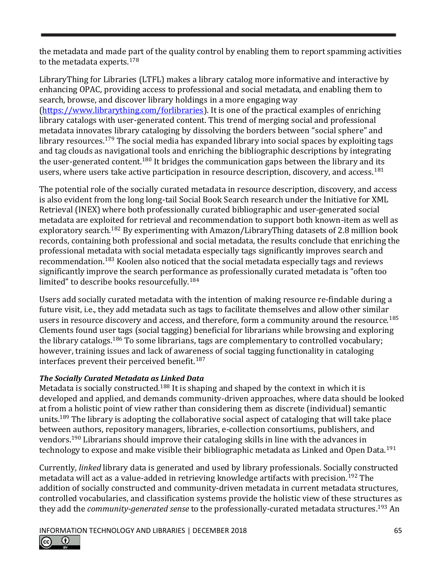the metadata and made part of the quality control by enabling them to report spamming activities to the metadata experts.<sup>178</sup>

LibraryThing for Libraries (LTFL) makes a library catalog more informative and interactive by enhancing OPAC, providing access to professional and social metadata, and enabling them to search, browse, and discover library holdings in a more engaging way [\(https://www.librarything.com/forlibraries\)](https://www.librarything.com/forlibraries). It is one of the practical examples of enriching library catalogs with user-generated content. This trend of merging social and professional metadata innovates library cataloging by dissolving the borders between "social sphere" and library resources.<sup>179</sup> The social media has expanded library into social spaces by exploiting tags and tag clouds as navigational tools and enriching the bibliographic descriptions by integrating the user-generated content.<sup>180</sup> It bridges the communication gaps between the library and its users, where users take active participation in resource description, discovery, and access.<sup>181</sup>

The potential role of the socially curated metadata in resource description, discovery, and access is also evident from the long long-tail Social Book Search research under the Initiative for XML Retrieval (INEX) where both professionally curated bibliographic and user-generated social metadata are exploited for retrieval and recommendation to support both known-item as well as exploratory search.<sup>182</sup> By experimenting with Amazon/LibraryThing datasets of 2.8 million book records, containing both professional and social metadata, the results conclude that enriching the professional metadata with social metadata especially tags significantly improves search and recommendation.<sup>183</sup> Koolen also noticed that the social metadata especially tags and reviews significantly improve the search performance as professionally curated metadata is "often too limited" to describe books resourcefully.<sup>184</sup>

Users add socially curated metadata with the intention of making resource re-findable during a future visit, i.e., they add metadata such as tags to facilitate themselves and allow other similar users in resource discovery and access, and therefore, form a community around the resource.<sup>185</sup> Clements found user tags (social tagging) beneficial for librarians while browsing and exploring the library catalogs.<sup>186</sup> To some librarians, tags are complementary to controlled vocabulary; however, training issues and lack of awareness of social tagging functionality in cataloging interfaces prevent their perceived benefit.<sup>187</sup>

## *The Socially Curated Metadata as Linked Data*

Metadata is socially constructed.<sup>188</sup> It is shaping and shaped by the context in which it is developed and applied, and demands community-driven approaches, where data should be looked at from a holistic point of view rather than considering them as discrete (individual) semantic units.<sup>189</sup> The library is adopting the collaborative social aspect of cataloging that will take place between authors, repository managers, libraries, e-collection consortiums, publishers, and vendors.<sup>190</sup> Librarians should improve their cataloging skills in line with the advances in technology to expose and make visible their bibliographic metadata as Linked and Open Data.<sup>191</sup>

Currently, *linked* library data is generated and used by library professionals. Socially constructed metadata will act as a value-added in retrieving knowledge artifacts with precision.<sup>192</sup> The addition of socially constructed and community-driven metadata in current metadata structures, controlled vocabularies, and classification systems provide the holistic view of these structures as they add the *community-generated sense* to the professionally-curated metadata structures. <sup>193</sup> An

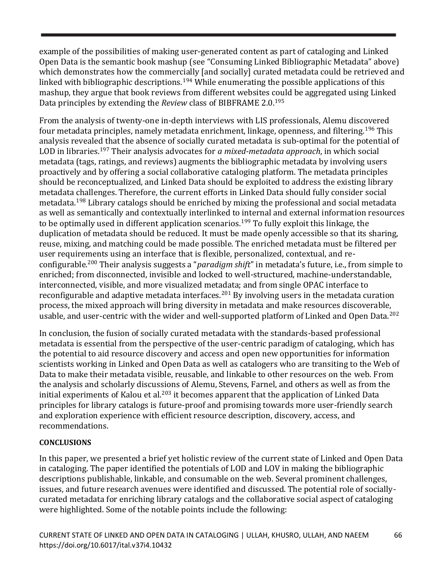example of the possibilities of making user-generated content as part of cataloging and Linked Open Data is the semantic book mashup (see "Consuming Linked Bibliographic Metadata" above) which demonstrates how the commercially [and socially] curated metadata could be retrieved and linked with bibliographic descriptions.<sup>194</sup> While enumerating the possible applications of this mashup, they argue that book reviews from different websites could be aggregated using Linked Data principles by extending the *Review* class of BIBFRAME 2.0.<sup>195</sup>

From the analysis of twenty-one in-depth interviews with LIS professionals, Alemu discovered four metadata principles, namely metadata enrichment, linkage, openness, and filtering.<sup>196</sup> This analysis revealed that the absence of socially curated metadata is sub-optimal for the potential of LOD in libraries.<sup>197</sup> Their analysis advocates for *a mixed-metadata approach*, in which social metadata (tags, ratings, and reviews) augments the bibliographic metadata by involving users proactively and by offering a social collaborative cataloging platform. The metadata principles should be reconceptualized, and Linked Data should be exploited to address the existing library metadata challenges. Therefore, the current efforts in Linked Data should fully consider social metadata.<sup>198</sup> Library catalogs should be enriched by mixing the professional and social metadata as well as semantically and contextually interlinked to internal and external information resources to be optimally used in different application scenarios.<sup>199</sup> To fully exploit this linkage, the duplication of metadata should be reduced. It must be made openly accessible so that its sharing, reuse, mixing, and matching could be made possible. The enriched metadata must be filtered per user requirements using an interface that is flexible, personalized, contextual, and reconfigurable.<sup>200</sup> Their analysis suggests a "*paradigm shift*" in metadata's future, i.e., from simple to enriched; from disconnected, invisible and locked to well-structured, machine-understandable, interconnected, visible, and more visualized metadata; and from single OPAC interface to reconfigurable and adaptive metadata interfaces.<sup>201</sup> By involving users in the metadata curation process, the mixed approach will bring diversity in metadata and make resources discoverable, usable, and user-centric with the wider and well-supported platform of Linked and Open Data.<sup>202</sup>

In conclusion, the fusion of socially curated metadata with the standards-based professional metadata is essential from the perspective of the user-centric paradigm of cataloging, which has the potential to aid resource discovery and access and open new opportunities for information scientists working in Linked and Open Data as well as catalogers who are transiting to the Web of Data to make their metadata visible, reusable, and linkable to other resources on the web. From the analysis and scholarly discussions of Alemu, Stevens, Farnel, and others as well as from the initial experiments of Kalou et al.<sup>203</sup> it becomes apparent that the application of Linked Data principles for library catalogs is future-proof and promising towards more user-friendly search and exploration experience with efficient resource description, discovery, access, and recommendations.

#### **CONCLUSIONS**

In this paper, we presented a brief yet holistic review of the current state of Linked and Open Data in cataloging. The paper identified the potentials of LOD and LOV in making the bibliographic descriptions publishable, linkable, and consumable on the web. Several prominent challenges, issues, and future research avenues were identified and discussed. The potential role of sociallycurated metadata for enriching library catalogs and the collaborative social aspect of cataloging were highlighted. Some of the notable points include the following: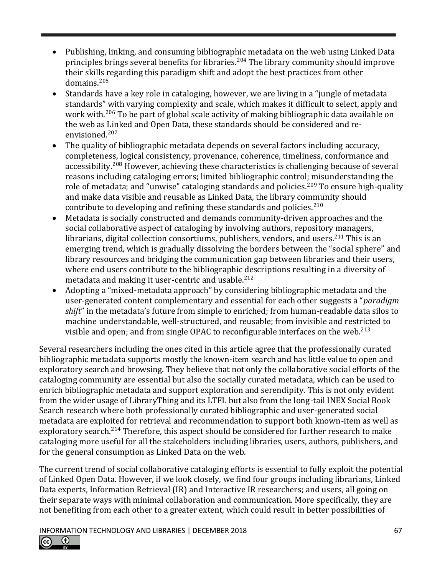- Publishing, linking, and consuming bibliographic metadata on the web using Linked Data principles brings several benefits for libraries.<sup>204</sup> The library community should improve their skills regarding this paradigm shift and adopt the best practices from other domains.<sup>205</sup>
- Standards have a key role in cataloging, however, we are living in a "jungle of metadata standards" with varying complexity and scale, which makes it difficult to select, apply and work with.<sup>206</sup> To be part of global scale activity of making bibliographic data available on the web as Linked and Open Data, these standards should be considered and reenvisioned.<sup>207</sup>
- The quality of bibliographic metadata depends on several factors including accuracy, completeness, logical consistency, provenance, coherence, timeliness, conformance and accessibility.<sup>208</sup> However, achieving these characteristics is challenging because of several reasons including cataloging errors; limited bibliographic control; misunderstanding the role of metadata; and "unwise" cataloging standards and policies.<sup>209</sup> To ensure high-quality and make data visible and reusable as Linked Data, the library community should contribute to developing and refining these standards and policies.<sup>210</sup>
- Metadata is socially constructed and demands community-driven approaches and the social collaborative aspect of cataloging by involving authors, repository managers, librarians, digital collection consortiums, publishers, vendors, and users.<sup>211</sup> This is an emerging trend, which is gradually dissolving the borders between the "social sphere" and library resources and bridging the communication gap between libraries and their users, where end users contribute to the bibliographic descriptions resulting in a diversity of metadata and making it user-centric and usable.<sup>212</sup>
- Adopting a "mixed-metadata approach" by considering bibliographic metadata and the user-generated content complementary and essential for each other suggests a "*paradigm shift*" in the metadata's future from simple to enriched; from human-readable data silos to machine understandable, well-structured, and reusable; from invisible and restricted to visible and open; and from single OPAC to reconfigurable interfaces on the web.<sup>213</sup>

Several researchers including the ones cited in this article agree that the professionally curated bibliographic metadata supports mostly the known-item search and has little value to open and exploratory search and browsing. They believe that not only the collaborative social efforts of the cataloging community are essential but also the socially curated metadata, which can be used to enrich bibliographic metadata and support exploration and serendipity. This is not only evident from the wider usage of LibraryThing and its LTFL but also from the long-tail INEX Social Book Search research where both professionally curated bibliographic and user-generated social metadata are exploited for retrieval and recommendation to support both known-item as well as exploratory search.<sup>214</sup> Therefore, this aspect should be considered for further research to make cataloging more useful for all the stakeholders including libraries, users, authors, publishers, and for the general consumption as Linked Data on the web.

The current trend of social collaborative cataloging efforts is essential to fully exploit the potential of Linked Open Data. However, if we look closely, we find four groups including librarians, Linked Data experts, Information Retrieval (IR) and Interactive IR researchers; and users, all going on their separate ways with minimal collaboration and communication. More specifically, they are not benefiting from each other to a greater extent, which could result in better possibilities of

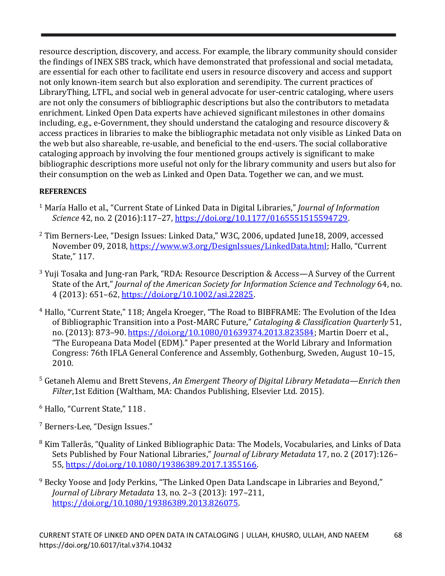resource description, discovery, and access. For example, the library community should consider the findings of INEX SBS track, which have demonstrated that professional and social metadata, are essential for each other to facilitate end users in resource discovery and access and support not only known-item search but also exploration and serendipity. The current practices of LibraryThing, LTFL, and social web in general advocate for user-centric cataloging, where users are not only the consumers of bibliographic descriptions but also the contributors to metadata enrichment. Linked Open Data experts have achieved significant milestones in other domains including, e.g., e-Government, they should understand the cataloging and resource discovery & access practices in libraries to make the bibliographic metadata not only visible as Linked Data on the web but also shareable, re-usable, and beneficial to the end-users. The social collaborative cataloging approach by involving the four mentioned groups actively is significant to make bibliographic descriptions more useful not only for the library community and users but also for their consumption on the web as Linked and Open Data. Together we can, and we must.

## **REFERENCES**

- <sup>1</sup> María Hallo et al., "Current State of Linked Data in Digital Libraries," *Journal of Information Science* 42, no. 2 (2016):117–27, [https://doi.org/10.1177/0165551515594729.](https://doi.org/10.1177/0165551515594729)
- <sup>2</sup> Tim Berners-Lee, "Design Issues: Linked Data," W3C, 2006, updated June18, 2009, accessed November 09, 2018, [https://www.w3.org/DesignIssues/LinkedData.html;](https://www.w3.org/DesignIssues/LinkedData.html) Hallo, "Current State," 117.
- $3$  Yuji Tosaka and Jung-ran Park, "RDA: Resource Description & Access—A Survey of the Current State of the Art," *Journal of the American Society for Information Science and Technology* 64, no. 4 (2013): 651–62, [https://doi.org/10.1002/asi.22825.](https://doi.org/10.1002/asi.22825)
- <sup>4</sup> Hallo, "Current State," 118; Angela Kroeger, "The Road to BIBFRAME: The Evolution of the Idea of Bibliographic Transition into a Post-MARC Future," *Cataloging & Classification Quarterly* 51, no. (2013): 873–90. [https://doi.org/10.1080/01639374.2013.823584;](https://doi.org/10.1080/01639374.2013.823584) Martin Doerr et al., "The Europeana Data Model (EDM)." Paper presented at the World Library and Information Congress: 76th IFLA General Conference and Assembly, Gothenburg, Sweden, August 10–15, 2010.
- <sup>5</sup> Getaneh Alemu and Brett Stevens, *An Emergent Theory of Digital Library Metadata—Enrich then Filter*,1st Edition (Waltham, MA: Chandos Publishing, Elsevier Ltd. 2015).
- <sup>6</sup> Hallo, "Current State," 118 .
- <sup>7</sup> Berners-Lee, "Design Issues."
- <sup>8</sup> Kim Tallerås, "Quality of Linked Bibliographic Data: The Models, Vocabularies, and Links of Data Sets Published by Four National Libraries," *Journal of Library Metadata* 17, no. 2 (2017):126– 55, [https://doi.org/10.1080/19386389.2017.1355166.](https://doi.org/10.1080/19386389.2017.1355166)
- <sup>9</sup> Becky Yoose and Jody Perkins, "The Linked Open Data Landscape in Libraries and Beyond," *Journal of Library Metadata* 13, no. 2–3 (2013): 197–211, [https://doi.org/10.1080/19386389.2013.826075.](https://doi.org/10.1080/19386389.2013.826075)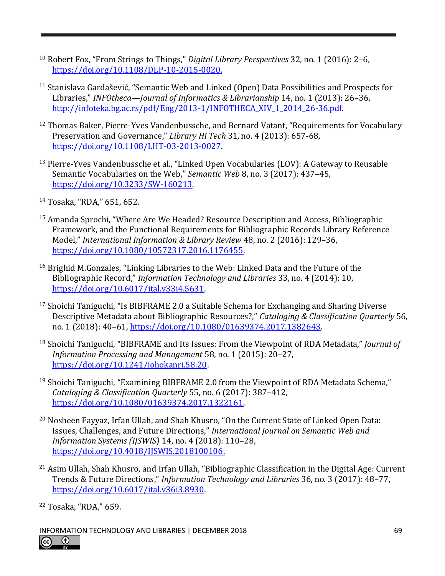- <sup>10</sup> Robert Fox, "From Strings to Things," *Digital Library Perspectives* 32, no. 1 (2016): 2–6, [https://doi.org/10.1108/DLP-10-2015-0020.](https://doi.org/10.1108/DLP-10-2015-0020)
- <sup>11</sup> Stanislava Gardašević, "Semantic Web and Linked (Open) Data Possibilities and Prospects for Libraries," *INFOtheca—Journal of Informatics & Librarianship* 14, no. 1 (2013): 26–36, [http://infoteka.bg.ac.rs/pdf/Eng/2013-1/INFOTHECA\\_XIV\\_1\\_2014\\_26-36.pdf.](http://infoteka.bg.ac.rs/pdf/Eng/2013-1/INFOTHECA_XIV_1_2014_26-36.pdf)
- <sup>12</sup> Thomas Baker, Pierre-Yves Vandenbussche, and Bernard Vatant, "Requirements for Vocabulary Preservation and Governance," *Library Hi Tech* 31, no. 4 (2013): 657-68, [https://doi.org/10.1108/LHT-03-2013-0027.](https://doi.org/10.1108/LHT-03-2013-0027)
- <sup>13</sup> Pierre-Yves Vandenbussche et al., "Linked Open Vocabularies (LOV): A Gateway to Reusable Semantic Vocabularies on the Web," *Semantic Web* 8, no. 3 (2017): 437–45, [https://doi.org/10.3233/SW-160213.](https://doi.org/10.3233/SW-160213)
- <sup>14</sup> Tosaka, "RDA," 651, 652.
- <sup>15</sup> Amanda Sprochi, "Where Are We Headed? Resource Description and Access, Bibliographic Framework, and the Functional Requirements for Bibliographic Records Library Reference Model," *International Information & Library Review* 48, no. 2 (2016): 129–36, [https://doi.org/10.1080/10572317.2016.1176455.](https://doi.org/10.1080/10572317.2016.1176455)
- <sup>16</sup> Brighid M.Gonzales, "Linking Libraries to the Web: Linked Data and the Future of the Bibliographic Record," *Information Technology and Libraries* 33, no. 4 (2014): 10, [https://doi.org/10.6017/ital.v33i4.5631.](https://doi.org/10.6017/ital.v33i4.5631)
- $17$  Shoichi Taniguchi, "Is BIBFRAME 2.0 a Suitable Schema for Exchanging and Sharing Diverse Descriptive Metadata about Bibliographic Resources?," *Cataloging & Classification Quarterly* 56, no. 1 (2018): 40–61, [https://doi.org/10.1080/01639374.2017.1382643.](https://doi.org/10.1080/01639374.2017.1382643)
- <sup>18</sup> Shoichi Taniguchi, "BIBFRAME and Its Issues: From the Viewpoint of RDA Metadata," *Journal of Information Processing and Management* 58, no. 1 (2015): 20–27, [https://doi.org/10.1241/johokanri.58.20.](https://doi.org/10.1241/johokanri.58.20)
- <sup>19</sup> Shoichi Taniguchi, "Examining BIBFRAME 2.0 from the Viewpoint of RDA Metadata Schema," *Cataloging & Classification Quarterly* 55, no. 6 (2017): 387–412, [https://doi.org/10.1080/01639374.2017.1322161.](https://doi.org/10.1080/01639374.2017.1322161)
- <sup>20</sup> Nosheen Fayyaz, Irfan Ullah, and Shah Khusro, "On the Current State of Linked Open Data: Issues, Challenges, and Future Directions," *International Journal on Semantic Web and Information Systems (IJSWIS)* 14, no. 4 (2018): 110–28, [https://doi.org/10.4018/IJSWIS.2018100106.](https://doi.org/10.4018/IJSWIS.2018100106)
- <sup>21</sup> Asim Ullah, Shah Khusro, and Irfan Ullah, "Bibliographic Classification in the Digital Age: Current Trends & Future Directions," *Information Technology and Libraries* 36, no. 3 (2017): 48–77, [https://doi.org/10.6017/ital.v36i3.8930.](https://doi.org/10.6017/ital.v36i3.8930)

<sup>22</sup> Tosaka, "RDA," 659.

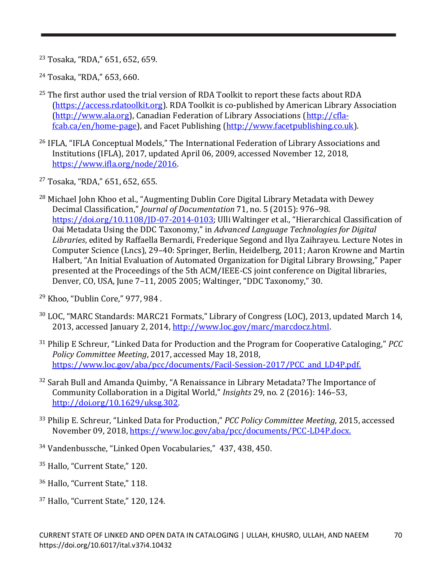<sup>23</sup> Tosaka, "RDA," 651, 652, 659.

<sup>24</sup> Tosaka, "RDA," 653, 660.

- $25$  The first author used the trial version of RDA Toolkit to report these facts about RDA [\(https://access.rdatoolkit.org\)](https://access.rdatoolkit.org/). RDA Toolkit is co-published by American Library Association [\(http://www.ala.org\)](http://www.ala.org/), Canadian Federation of Library Associations [\(http://cfla](http://cfla-fcab.ca/en/home-page)[fcab.ca/en/home-page\)](http://cfla-fcab.ca/en/home-page), and Facet Publishing [\(http://www.facetpublishing.co.uk\)](http://www.facetpublishing.co.uk/).
- <sup>26</sup> IFLA, "IFLA Conceptual Models," The International Federation of Library Associations and Institutions (IFLA), 2017, updated April 06, 2009, accessed November 12, 2018, [https://www.ifla.org/node/2016.](https://www.ifla.org/node/2016)
- <sup>27</sup> Tosaka, "RDA," 651, 652, 655.
- <sup>28</sup> Michael John Khoo et al., "Augmenting Dublin Core Digital Library Metadata with Dewey Decimal Classification," *Journal of Documentation* 71, no. 5 (2015): 976–98. [https://doi.org/10.1108/JD-07-2014-0103;](https://doi.org/10.1108/JD-07-2014-0103) Ulli Waltinger et al., "Hierarchical Classification of Oai Metadata Using the DDC Taxonomy," in *Advanced Language Technologies for Digital Libraries*, edited by Raffaella Bernardi, Frederique Segond and Ilya Zaihrayeu. Lecture Notes in Computer Science (Lncs), 29–40: Springer, Berlin, Heidelberg, 2011; Aaron Krowne and Martin Halbert, "An Initial Evaluation of Automated Organization for Digital Library Browsing," Paper presented at the Proceedings of the 5th ACM/IEEE-CS joint conference on Digital libraries, Denver, CO, USA, June 7–11, 2005 2005; Waltinger, "DDC Taxonomy," 30.
- <sup>29</sup> Khoo, "Dublin Core," 977, 984 .
- <sup>30</sup> LOC, "MARC Standards: MARC21 Formats," Library of Congress (LOC), 2013, updated March 14, 2013, accessed January 2, 2014, [http://www.loc.gov/marc/marcdocz.html.](http://www.loc.gov/marc/marcdocz.html)
- <sup>31</sup> Philip E Schreur, "Linked Data for Production and the Program for Cooperative Cataloging," *PCC Policy Committee Meeting*, 2017, accessed May 18, 2018, https://www.loc.gov/aba/pcc/documents/Facil-Session-2017/PCC and LD4P.pdf.
- <sup>32</sup> Sarah Bull and Amanda Quimby, "A Renaissance in Library Metadata? The Importance of Community Collaboration in a Digital World," *Insights* 29, no. 2 (2016): 146–53, [http://doi.org/10.1629/uksg.302.](http://doi.org/10.1629/uksg.302)
- <sup>33</sup> Philip E. Schreur, "Linked Data for Production," *PCC Policy Committee Meeting*, 2015, accessed November 09, 2018[, https://www.loc.gov/aba/pcc/documents/PCC-LD4P.docx.](https://www.loc.gov/aba/pcc/documents/PCC-LD4P.docx)
- <sup>34</sup> Vandenbussche, "Linked Open Vocabularies," 437, 438, 450.
- <sup>35</sup> Hallo, "Current State," 120.
- <sup>36</sup> Hallo, "Current State," 118.
- <sup>37</sup> Hallo, "Current State," 120, 124.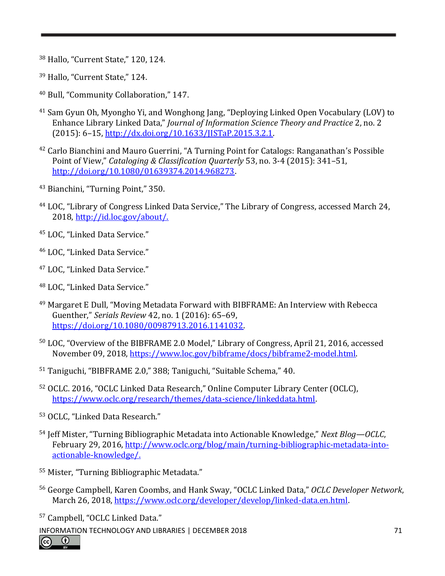<sup>38</sup> Hallo, "Current State," 120, 124.

- <sup>39</sup> Hallo, "Current State," 124.
- <sup>40</sup> Bull, "Community Collaboration," 147.
- <sup>41</sup> Sam Gyun Oh, Myongho Yi, and Wonghong Jang, "Deploying Linked Open Vocabulary (LOV) to Enhance Library Linked Data," *Journal of Information Science Theory and Practice* 2, no. 2 (2015): 6–15, [http://dx.doi.org/10.1633/JISTaP.2015.3.2.1.](http://dx.doi.org/10.1633/JISTaP.2015.3.2.1)
- <sup>42</sup> Carlo Bianchini and Mauro Guerrini, "A Turning Point for Catalogs: Ranganathan's Possible Point of View," *Cataloging & Classification Quarterly* 53, no. 3-4 (2015): 341–51, [http://doi.org/10.1080/01639374.2014.968273.](http://doi.org/10.1080/01639374.2014.968273)
- <sup>43</sup> Bianchini, "Turning Point," 350.
- <sup>44</sup> LOC, "Library of Congress Linked Data Service," The Library of Congress, accessed March 24, 2018[, http://id.loc.gov/about/.](http://id.loc.gov/about/)
- <sup>45</sup> LOC, "Linked Data Service."
- <sup>46</sup> LOC, "Linked Data Service."
- <sup>47</sup> LOC, "Linked Data Service."
- <sup>48</sup> LOC, "Linked Data Service."
- <sup>49</sup> Margaret E Dull, "Moving Metadata Forward with BIBFRAME: An Interview with Rebecca Guenther," *Serials Review* 42, no. 1 (2016): 65–69, [https://doi.org/10.1080/00987913.2016.1141032.](https://doi.org/10.1080/00987913.2016.1141032)
- <sup>50</sup> LOC, "Overview of the BIBFRAME 2.0 Model," Library of Congress, April 21, 2016, accessed November 09, 2018[, https://www.loc.gov/bibframe/docs/bibframe2-model.html.](https://www.loc.gov/bibframe/docs/bibframe2-model.html)
- <sup>51</sup> Taniguchi, "BIBFRAME 2.0," 388; Taniguchi, "Suitable Schema," 40.
- <sup>52</sup> OCLC. 2016, "OCLC Linked Data Research," Online Computer Library Center (OCLC), [https://www.oclc.org/research/themes/data-science/linkeddata.html.](https://www.oclc.org/research/themes/data-science/linkeddata.html)
- <sup>53</sup> OCLC, "Linked Data Research."
- <sup>54</sup> Jeff Mister, "Turning Bibliographic Metadata into Actionable Knowledge," *Next Blog—OCLC*, February 29, 2016, [http://www.oclc.org/blog/main/turning-bibliographic-metadata-into](http://www.oclc.org/blog/main/turning-bibliographic-metadata-into-actionable-knowledge/)[actionable-knowledge/.](http://www.oclc.org/blog/main/turning-bibliographic-metadata-into-actionable-knowledge/)
- <sup>55</sup> Mister, "Turning Bibliographic Metadata."
- <sup>56</sup> George Campbell, Karen Coombs, and Hank Sway, "OCLC Linked Data," *OCLC Developer Network*, March 26, 2018, [https://www.oclc.org/developer/develop/linked-data.en.html.](https://www.oclc.org/developer/develop/linked-data.en.html)
- <sup>57</sup> Campbell, "OCLC Linked Data."

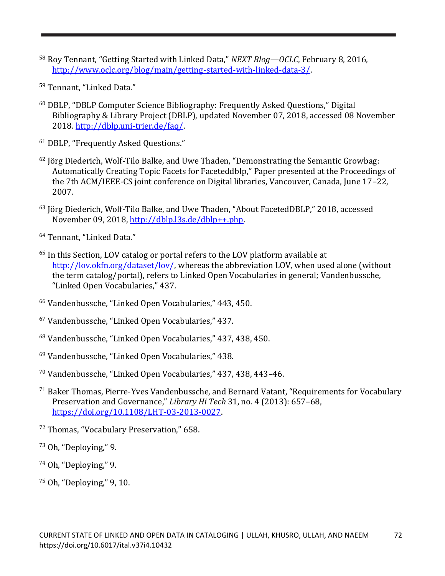- <sup>58</sup> Roy Tennant, "Getting Started with Linked Data," *NEXT Blog—OCLC*, February 8, 2016, [http://www.oclc.org/blog/main/getting-started-with-linked-data-3/.](http://www.oclc.org/blog/main/getting-started-with-linked-data-3/)
- <sup>59</sup> Tennant, "Linked Data."
- <sup>60</sup> DBLP, "DBLP Computer Science Bibliography: Frequently Asked Questions," Digital Bibliography & Library Project (DBLP), updated November 07, 2018, accessed 08 November 2018[. http://dblp.uni-trier.de/faq/.](http://dblp.uni-trier.de/faq/)
- <sup>61</sup> DBLP, "Frequently Asked Questions."
- $62$  Jörg Diederich, Wolf-Tilo Balke, and Uwe Thaden, "Demonstrating the Semantic Growbag: Automatically Creating Topic Facets for Faceteddblp," Paper presented at the Proceedings of the 7th ACM/IEEE-CS joint conference on Digital libraries, Vancouver, Canada, June 17–22, 2007.
- <sup>63</sup> Jörg Diederich, Wolf-Tilo Balke, and Uwe Thaden, "About FacetedDBLP," 2018, accessed November 09, 2018, [http://dblp.l3s.de/dblp++.php.](http://dblp.l3s.de/dblp++.php)
- <sup>64</sup> Tennant, "Linked Data."
- <sup>65</sup> In this Section, LOV catalog or portal refers to the LOV platform available at [http://lov.okfn.org/dataset/lov/,](http://lov.okfn.org/dataset/lov/) whereas the abbreviation LOV, when used alone (without the term catalog/portal), refers to Linked Open Vocabularies in general; Vandenbussche, "Linked Open Vocabularies," 437.
- <sup>66</sup> Vandenbussche, "Linked Open Vocabularies," 443, 450.
- <sup>67</sup> Vandenbussche, "Linked Open Vocabularies," 437.
- <sup>68</sup> Vandenbussche, "Linked Open Vocabularies," 437, 438, 450.
- <sup>69</sup> Vandenbussche, "Linked Open Vocabularies," 438.
- <sup>70</sup> Vandenbussche, "Linked Open Vocabularies," 437, 438, 443–46.
- <sup>71</sup> Baker Thomas, Pierre-Yves Vandenbussche, and Bernard Vatant, "Requirements for Vocabulary Preservation and Governance," *Library Hi Tech* 31, no. 4 (2013): 657–68, [https://doi.org/10.1108/LHT-03-2013-0027.](https://doi.org/10.1108/LHT-03-2013-0027)
- <sup>72</sup> Thomas, "Vocabulary Preservation," 658.
- <sup>73</sup> Oh, "Deploying," 9.
- <sup>74</sup> Oh, "Deploying," 9.
- <sup>75</sup> Oh, "Deploying," 9, 10.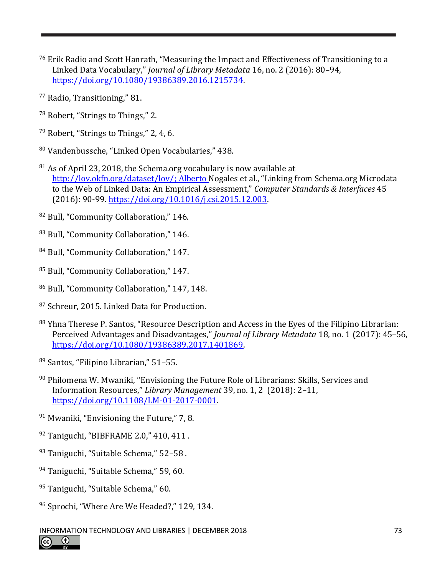- <sup>76</sup> Erik Radio and Scott Hanrath, "Measuring the Impact and Effectiveness of Transitioning to a Linked Data Vocabulary," *Journal of Library Metadata* 16, no. 2 (2016): 80–94, [https://doi.org/10.1080/19386389.2016.1215734.](https://doi.org/10.1080/19386389.2016.1215734)
- <sup>77</sup> Radio, Transitioning," 81.
- <sup>78</sup> Robert, "Strings to Things," 2.
- <sup>79</sup> Robert, "Strings to Things," 2, 4, 6.
- <sup>80</sup> Vandenbussche, "Linked Open Vocabularies," 438.
- <sup>81</sup> As of April 23, 2018, the Schema.org vocabulary is now available at [http://lov.okfn.org/dataset/lov/;](http://lov.okfn.org/dataset/lov/) Alberto Nogales et al., "Linking from Schema.org Microdata to the Web of Linked Data: An Empirical Assessment," *Computer Standards & Interfaces* 45 (2016): 90-99. [https://doi.org/10.1016/j.csi.2015.12.003.](https://doi.org/10.1016/j.csi.2015.12.003)
- <sup>82</sup> Bull, "Community Collaboration," 146.
- 83 Bull, "Community Collaboration," 146.
- <sup>84</sup> Bull, "Community Collaboration," 147.
- <sup>85</sup> Bull, "Community Collaboration," 147.
- <sup>86</sup> Bull, "Community Collaboration," 147, 148.
- <sup>87</sup> Schreur, 2015. Linked Data for Production.
- 88 Yhna Therese P. Santos, "Resource Description and Access in the Eyes of the Filipino Librarian: Perceived Advantages and Disadvantages," *Journal of Library Metadata* 18, no. 1 (2017): 45–56, [https://doi.org/10.1080/19386389.2017.1401869.](https://doi.org/10.1080/19386389.2017.1401869)
- <sup>89</sup> Santos, "Filipino Librarian," 51–55.
- 90 Philomena W. Mwaniki, "Envisioning the Future Role of Librarians: Skills, Services and Information Resources," *Library Management* 39, no. 1, 2 (2018): 2–11, [https://doi.org/10.1108/LM-01-2017-0001.](https://doi.org/10.1108/LM-01-2017-0001)
- <sup>91</sup> Mwaniki, "Envisioning the Future," 7, 8.
- 92 Taniguchi, "BIBFRAME 2.0," 410, 411.
- 93 Taniguchi, "Suitable Schema," 52-58.
- <sup>94</sup> Taniguchi, "Suitable Schema," 59, 60.
- 95 Taniguchi, "Suitable Schema," 60.
- <sup>96</sup> Sprochi, "Where Are We Headed?," 129, 134.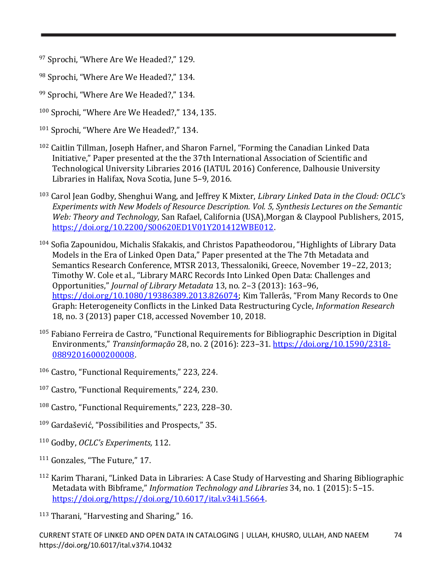- 97 Sprochi, "Where Are We Headed?," 129.
- 98 Sprochi, "Where Are We Headed?," 134.
- 99 Sprochi, "Where Are We Headed?," 134.
- <sup>100</sup> Sprochi, "Where Are We Headed?," 134, 135.
- <sup>101</sup> Sprochi, "Where Are We Headed?," 134.
- <sup>102</sup> Caitlin Tillman, Joseph Hafner, and Sharon Farnel, "Forming the Canadian Linked Data Initiative," Paper presented at the the 37th International Association of Scientific and Technological University Libraries 2016 (IATUL 2016) Conference, Dalhousie University Libraries in Halifax, Nova Scotia, June 5–9, 2016.
- <sup>103</sup> Carol Jean Godby, Shenghui Wang, and Jeffrey K Mixter, *Library Linked Data in the Cloud: OCLC's Experiments with New Models of Resource Description. Vol. 5, Synthesis Lectures on the Semantic Web: Theory and Technology,* San Rafael, California (USA),Morgan & Claypool Publishers, 2015, [https://doi.org/10.2200/S00620ED1V01Y201412WBE012.](https://doi.org/10.2200/S00620ED1V01Y201412WBE012)
- <sup>104</sup> Sofia Zapounidou, Michalis Sfakakis, and Christos Papatheodorou, "Highlights of Library Data Models in the Era of Linked Open Data," Paper presented at the The 7th Metadata and Semantics Research Conference, MTSR 2013, Thessaloniki, Greece, November 19–22, 2013; Timothy W. Cole et al., "Library MARC Records Into Linked Open Data: Challenges and Opportunities," *Journal of Library Metadata* 13, no. 2–3 (2013): 163–96, <https://doi.org/10.1080/19386389.2013.826074>; Kim Tallerås, "From Many Records to One Graph: Heterogeneity Conflicts in the Linked Data Restructuring Cycle, *Information Research* 18, no. 3 (2013) paper C18, accessed November 10, 2018.
- $105$  Fabiano Ferreira de Castro, "Functional Requirements for Bibliographic Description in Digital Environments," *Transinformação* 28, no. 2 (2016): 223–31. [https://doi.org/10.1590/2318-](https://doi.org/10.1590/2318-08892016000200008) [08892016000200008.](https://doi.org/10.1590/2318-08892016000200008)
- <sup>106</sup> Castro, "Functional Requirements," 223, 224.
- <sup>107</sup> Castro, "Functional Requirements," 224, 230.
- <sup>108</sup> Castro, "Functional Requirements," 223, 228–30.
- <sup>109</sup> Gardašević, "Possibilities and Prospects," 35.
- <sup>110</sup> Godby, *OCLC's Experiments,* 112.
- <sup>111</sup> Gonzales, "The Future," 17.
- <sup>112</sup> Karim Tharani, "Linked Data in Libraries: A Case Study of Harvesting and Sharing Bibliographic Metadata with Bibframe," *Information Technology and Libraries* 34, no. 1 (2015): 5–15. [https://doi.org/https://doi.org/10.6017/ital.v34i1.5664.](https://doi.org/https:/doi.org/10.6017/ital.v34i1.5664)
- 113 Tharani, "Harvesting and Sharing," 16.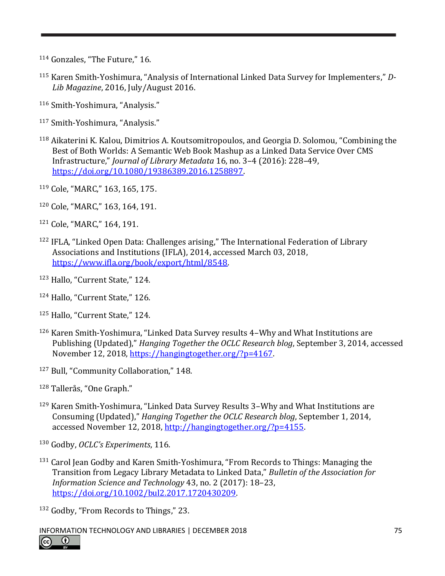- <sup>114</sup> Gonzales, "The Future," 16.
- <sup>115</sup> Karen Smith-Yoshimura, "Analysis of International Linked Data Survey for Implementers," *D-Lib Magazine*, 2016, July/August 2016.
- <sup>116</sup> Smith-Yoshimura, "Analysis."
- <sup>117</sup> Smith-Yoshimura, "Analysis."
- <sup>118</sup> Aikaterini K. Kalou, Dimitrios A. Koutsomitropoulos, and Georgia D. Solomou, "Combining the Best of Both Worlds: A Semantic Web Book Mashup as a Linked Data Service Over CMS Infrastructure," *Journal of Library Metadata* 16, no. 3–4 (2016): 228–49, [https://doi.org/10.1080/19386389.2016.1258897.](https://doi.org/10.1080/19386389.2016.1258897)
- <sup>119</sup> Cole, "MARC," 163, 165, 175.
- <sup>120</sup> Cole, "MARC," 163, 164, 191.
- <sup>121</sup> Cole, "MARC," 164, 191.
- <sup>122</sup> IFLA, "Linked Open Data: Challenges arising," The International Federation of Library Associations and Institutions (IFLA), 2014, accessed March 03, 2018, [https://www.ifla.org/book/export/html/8548.](https://www.ifla.org/book/export/html/8548)
- <sup>123</sup> Hallo, "Current State," 124.
- <sup>124</sup> Hallo, "Current State," 126.
- <sup>125</sup> Hallo, "Current State," 124.
- <sup>126</sup> Karen Smith-Yoshimura, "Linked Data Survey results 4–Why and What Institutions are Publishing (Updated)," *Hanging Together the OCLC Research blog*, September 3, 2014, accessed November 12, 2018, [https://hangingtogether.org/?p=4167.](https://hangingtogether.org/?p=4167)
- <sup>127</sup> Bull, "Community Collaboration," 148.
- <sup>128</sup> Tallerås, "One Graph."
- <sup>129</sup> Karen Smith-Yoshimura, "Linked Data Survey Results 3–Why and What Institutions are Consuming (Updated)," *Hanging Together the OCLC Research blog*, September 1, 2014, accessed November 12, 2018, [http://hangingtogether.org/?p=4155.](http://hangingtogether.org/?p=4155)
- <sup>130</sup> Godby, *OCLC's Experiments*, 116.
- <sup>131</sup> Carol Jean Godby and Karen Smith-Yoshimura, "From Records to Things: Managing the Transition from Legacy Library Metadata to Linked Data," *Bulletin of the Association for Information Science and Technology* 43, no. 2 (2017): 18–23, [https://doi.org/10.1002/bul2.2017.1720430209.](https://doi.org/10.1002/bul2.2017.1720430209)
- <sup>132</sup> Godby, "From Records to Things," 23.
- INFORMATION TECHNOLOGY AND LIBRARIES | DECEMBER 2018 75

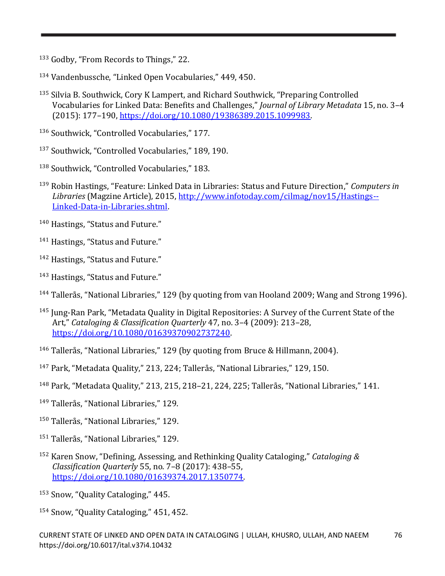133 Godby, "From Records to Things," 22.

<sup>134</sup> Vandenbussche, "Linked Open Vocabularies," 449, 450.

<sup>135</sup> Silvia B. Southwick, Cory K Lampert, and Richard Southwick, "Preparing Controlled Vocabularies for Linked Data: Benefits and Challenges," *Journal of Library Metadata* 15, no. 3–4 (2015): 177–190, [https://doi.org/10.1080/19386389.2015.1099983.](https://doi.org/10.1080/19386389.2015.1099983)

<sup>136</sup> Southwick, "Controlled Vocabularies," 177.

- <sup>137</sup> Southwick, "Controlled Vocabularies," 189, 190.
- <sup>138</sup> Southwick, "Controlled Vocabularies," 183.
- <sup>139</sup> Robin Hastings, "Feature: Linked Data in Libraries: Status and Future Direction," *Computers in Libraries* (Magzine Article), 2015[, http://www.infotoday.com/cilmag/nov15/Hastings--](http://www.infotoday.com/cilmag/nov15/Hastings--Linked-Data-in-Libraries.shtml) [Linked-Data-in-Libraries.shtml.](http://www.infotoday.com/cilmag/nov15/Hastings--Linked-Data-in-Libraries.shtml)
- <sup>140</sup> Hastings, "Status and Future."

<sup>141</sup> Hastings, "Status and Future."

- <sup>142</sup> Hastings, "Status and Future."
- <sup>143</sup> Hastings, "Status and Future."
- <sup>144</sup> Tallerås, "National Libraries," 129 (by quoting from van Hooland 2009; Wang and Strong 1996).
- <sup>145</sup> Jung-Ran Park, "Metadata Quality in Digital Repositories: A Survey of the Current State of the Art," *Cataloging & Classification Quarterly* 47, no. 3–4 (2009): 213–28, [https://doi.org/10.1080/01639370902737240.](https://doi.org/10.1080/01639370902737240)
- <sup>146</sup> Tallerås, "National Libraries," 129 (by quoting from Bruce & Hillmann, 2004).
- <sup>147</sup> Park, "Metadata Quality," 213, 224; Tallerås, "National Libraries," 129, 150.
- <sup>148</sup> Park, "Metadata Quality," 213, 215, 218–21, 224, 225; Tallerås, "National Libraries," 141.
- <sup>149</sup> Tallerås, "National Libraries," 129.
- <sup>150</sup> Tallerås, "National Libraries," 129.
- <sup>151</sup> Tallerås, "National Libraries," 129.
- <sup>152</sup> Karen Snow, "Defining, Assessing, and Rethinking Quality Cataloging," *Cataloging & Classification Quarterly* 55, no. 7–8 (2017): 438–55, [https://doi.org/10.1080/01639374.2017.1350774.](https://doi.org/10.1080/01639374.2017.1350774)
- <sup>153</sup> Snow, "Quality Cataloging," 445.
- <sup>154</sup> Snow, "Quality Cataloging," 451, 452.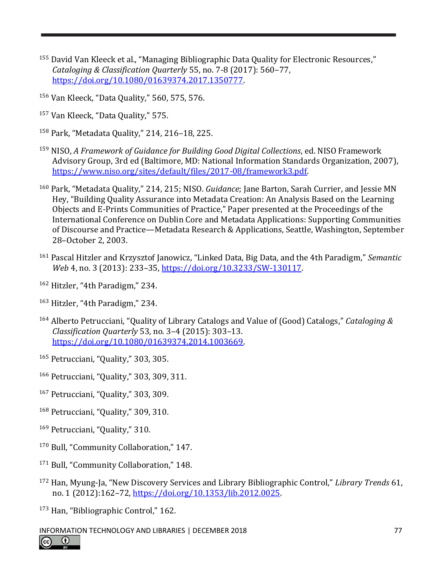- <sup>155</sup> David Van Kleeck et al., "Managing Bibliographic Data Quality for Electronic Resources," *Cataloging & Classification Quarterly* 55, no. 7-8 (2017): 560–77, [https://doi.org/10.1080/01639374.2017.1350777.](https://doi.org/10.1080/01639374.2017.1350777)
- <sup>156</sup> Van Kleeck, "Data Quality," 560, 575, 576.
- <sup>157</sup> Van Kleeck, "Data Quality," 575.
- <sup>158</sup> Park, "Metadata Quality," 214, 216–18, 225.
- <sup>159</sup> NISO, *A Framework of Guidance for Building Good Digital Collections*, ed. NISO Framework Advisory Group, 3rd ed (Baltimore, MD: National Information Standards Organization, 2007), [https://www.niso.org/sites/default/files/2017-08/framework3.pdf.](https://www.niso.org/sites/default/files/2017-08/framework3.pdf)
- <sup>160</sup> Park, "Metadata Quality," 214, 215; NISO. *Guidance*; Jane Barton, Sarah Currier, and Jessie MN Hey, "Building Quality Assurance into Metadata Creation: An Analysis Based on the Learning Objects and E-Prints Communities of Practice," Paper presented at the Proceedings of the International Conference on Dublin Core and Metadata Applications: Supporting Communities of Discourse and Practice—Metadata Research & Applications, Seattle, Washington, September 28–October 2, 2003.
- <sup>161</sup> Pascal Hitzler and Krzysztof Janowicz, "Linked Data, Big Data, and the 4th Paradigm," *Semantic Web* 4, no. 3 (2013): 233–35, [https://doi.org/10.3233/SW-130117.](https://doi.org/10.3233/SW-130117)
- <sup>162</sup> Hitzler, "4th Paradigm," 234.
- <sup>163</sup> Hitzler, "4th Paradigm," 234.
- <sup>164</sup> Alberto Petrucciani, "Quality of Library Catalogs and Value of (Good) Catalogs," *Cataloging & Classification Quarterly* 53, no. 3–4 (2015): 303–13. [https://doi.org/10.1080/01639374.2014.1003669.](https://doi.org/10.1080/01639374.2014.1003669)
- <sup>165</sup> Petrucciani, "Quality," 303, 305.
- <sup>166</sup> Petrucciani, "Quality," 303, 309, 311.
- <sup>167</sup> Petrucciani, "Quality," 303, 309.
- <sup>168</sup> Petrucciani, "Quality," 309, 310.
- <sup>169</sup> Petrucciani, "Quality," 310.
- <sup>170</sup> Bull, "Community Collaboration," 147.
- <sup>171</sup> Bull, "Community Collaboration," 148.
- <sup>172</sup> Han, Myung-Ja, "New Discovery Services and Library Bibliographic Control," *Library Trends* 61, no. 1 (2012):162–72, [https://doi.org/10.1353/lib.2012.0025.](https://doi.org/10.1353/lib.2012.0025)
- <sup>173</sup> Han, "Bibliographic Control," 162.
- INFORMATION TECHNOLOGY AND LIBRARIES | DECEMBER 2018 77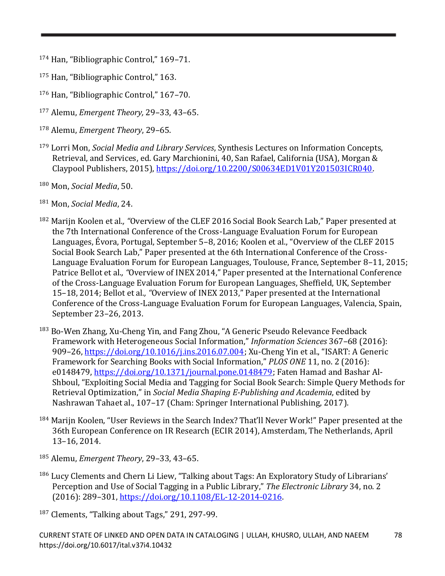- <sup>174</sup> Han, "Bibliographic Control," 169–71.
- <sup>175</sup> Han, "Bibliographic Control," 163.
- <sup>176</sup> Han, "Bibliographic Control," 167–70.
- <sup>177</sup> Alemu, *Emergent Theory,* 29–33, 43–65.
- <sup>178</sup> Alemu, *Emergent Theory*, 29–65.
- <sup>179</sup> Lorri Mon, *Social Media and Library Services*, Synthesis Lectures on Information Concepts, Retrieval, and Services, ed. Gary Marchionini, 40, San Rafael, California (USA), Morgan & Claypool Publishers, 2015), [https://doi.org/10.2200/S00634ED1V01Y201503ICR040.](https://doi.org/10.2200/S00634ED1V01Y201503ICR040)
- <sup>180</sup> Mon, *Social Media*, 50.
- <sup>181</sup> Mon, *Social Media*, 24.
- <sup>182</sup> Marijn Koolen et al.*, "*Overview of the CLEF 2016 Social Book Search Lab," Paper presented at the 7th International Conference of the Cross-Language Evaluation Forum for European Languages, Évora, Portugal, September 5–8, 2016; Koolen et al., "Overview of the CLEF 2015 Social Book Search Lab," Paper presented at the 6th International Conference of the Cross-Language Evaluation Forum for European Languages, Toulouse, France, September 8–11, 2015; Patrice Bellot et al.*, "*Overview of INEX 2014," Paper presented at the International Conference of the Cross-Language Evaluation Forum for European Languages, Sheffield, UK, September 15–18, 2014; Bellot et al.*, "*Overview of INEX 2013," Paper presented at the International Conference of the Cross-Language Evaluation Forum for European Languages, Valencia, Spain, September 23–26, 2013.
- <sup>183</sup> Bo-Wen Zhang, Xu-Cheng Yin, and Fang Zhou, "A Generic Pseudo Relevance Feedback Framework with Heterogeneous Social Information," *Information Sciences* 367–68 (2016): 909–26, [https://doi.org/10.1016/j.ins.2016.07.004;](https://doi.org/10.1016/j.ins.2016.07.004) Xu-Cheng Yin et al., "ISART: A Generic Framework for Searching Books with Social Information," *PLOS ONE* 11, no. 2 (2016): e0148479, [https://doi.org/10.1371/journal.pone.0148479;](https://doi.org/10.1371/journal.pone.0148479) Faten Hamad and Bashar Al-Shboul, "Exploiting Social Media and Tagging for Social Book Search: Simple Query Methods for Retrieval Optimization," in *Social Media Shaping E-Publishing and Academia*, edited by Nashrawan Tahaet al., 107–17 (Cham: Springer International Publishing, 2017).
- <sup>184</sup> Marijn Koolen, "User Reviews in the Search Index? That'll Never Work!" Paper presented at the 36th European Conference on IR Research (ECIR 2014), Amsterdam, The Netherlands, April 13–16, 2014.
- <sup>185</sup> Alemu, *Emergent Theory*, 29–33, 43–65.
- <sup>186</sup> Lucy Clements and Chern Li Liew, "Talking about Tags: An Exploratory Study of Librarians' Perception and Use of Social Tagging in a Public Library," *The Electronic Library* 34, no. 2 (2016): 289–301, [https://doi.org/10.1108/EL-12-2014-0216.](https://doi.org/10.1108/EL-12-2014-0216)
- <sup>187</sup> Clements, "Talking about Tags," 291, 297-99.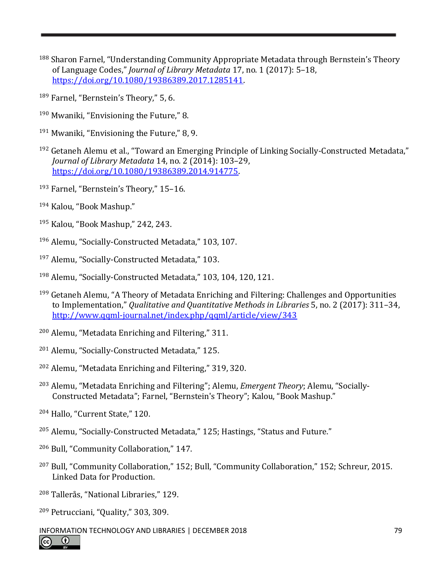- <sup>188</sup> Sharon Farnel, "Understanding Community Appropriate Metadata through Bernstein's Theory of Language Codes," *Journal of Library Metadata* 17, no. 1 (2017): 5–18, [https://doi.org/10.1080/19386389.2017.1285141.](https://doi.org/10.1080/19386389.2017.1285141)
- Farnel, "Bernstein's Theory," 5, 6.
- Mwaniki, "Envisioning the Future," 8.
- Mwaniki, "Envisioning the Future," 8, 9.
- Getaneh Alemu et al., "Toward an Emerging Principle of Linking Socially-Constructed Metadata," *Journal of Library Metadata* 14, no. 2 (2014): 103–29, [https://doi.org/10.1080/19386389.2014.914775.](https://doi.org/10.1080/19386389.2014.914775)
- Farnel, "Bernstein's Theory," 15–16.
- Kalou, "Book Mashup."
- Kalou, "Book Mashup," 242, 243.
- Alemu, "Socially-Constructed Metadata," 103, 107.
- Alemu, "Socially-Constructed Metadata," 103.
- Alemu, "Socially-Constructed Metadata," 103, 104, 120, 121.
- Getaneh Alemu, "A Theory of Metadata Enriching and Filtering: Challenges and Opportunities to Implementation," *Qualitative and Quantitative Methods in Libraries* 5, no. 2 (2017): 311–34, <http://www.qqml-journal.net/index.php/qqml/article/view/343>
- Alemu, "Metadata Enriching and Filtering," 311.
- Alemu, "Socially-Constructed Metadata," 125.
- Alemu, "Metadata Enriching and Filtering," 319, 320.
- Alemu, "Metadata Enriching and Filtering"; Alemu, *Emergent Theory*; Alemu, "Socially-Constructed Metadata"; Farnel, "Bernstein's Theory"; Kalou, "Book Mashup."
- Hallo, "Current State," 120.
- Alemu, "Socially-Constructed Metadata," 125; Hastings, "Status and Future."
- Bull, "Community Collaboration," 147.
- Bull, "Community Collaboration," 152; Bull, "Community Collaboration," 152; Schreur, 2015. Linked Data for Production.
- Tallerås, "National Libraries," 129.
- Petrucciani, "Quality," 303, 309.